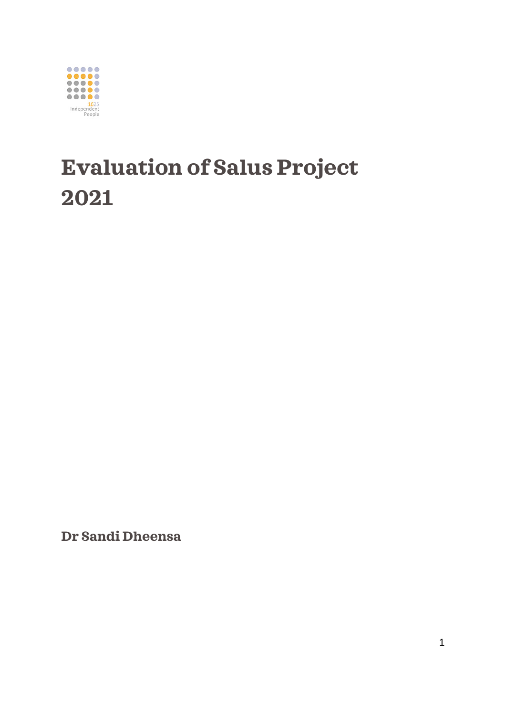

# **Evaluation of Salus Project 2021**

**Dr Sandi Dheensa**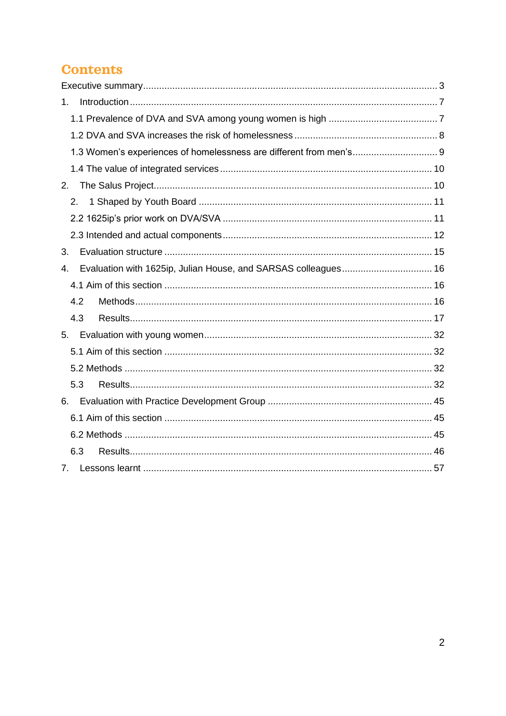### **Contents**

| 1.                                                                   |  |
|----------------------------------------------------------------------|--|
|                                                                      |  |
|                                                                      |  |
| 1.3 Women's experiences of homelessness are different from men's 9   |  |
|                                                                      |  |
| 2.                                                                   |  |
| 2.                                                                   |  |
|                                                                      |  |
|                                                                      |  |
| 3.                                                                   |  |
| Evaluation with 1625ip, Julian House, and SARSAS colleagues 16<br>4. |  |
|                                                                      |  |
| 4.2                                                                  |  |
| 4.3                                                                  |  |
|                                                                      |  |
|                                                                      |  |
|                                                                      |  |
| 5.3                                                                  |  |
| 6.                                                                   |  |
|                                                                      |  |
|                                                                      |  |
| 6.3                                                                  |  |
| 7.                                                                   |  |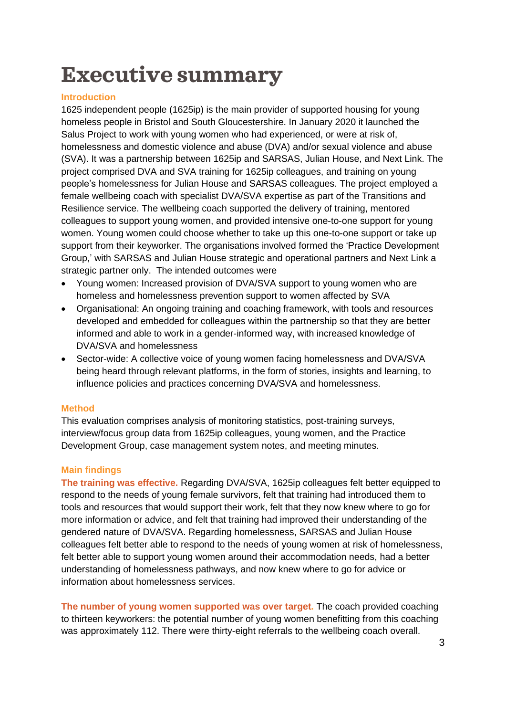# <span id="page-2-0"></span>**Executive summary**

#### **Introduction**

1625 independent people (1625ip) is the main provider of supported housing for young homeless people in Bristol and South Gloucestershire. In January 2020 it launched the Salus Project to work with young women who had experienced, or were at risk of, homelessness and domestic violence and abuse (DVA) and/or sexual violence and abuse (SVA). It was a partnership between 1625ip and SARSAS, Julian House, and Next Link. The project comprised DVA and SVA training for 1625ip colleagues, and training on young people's homelessness for Julian House and SARSAS colleagues. The project employed a female wellbeing coach with specialist DVA/SVA expertise as part of the Transitions and Resilience service. The wellbeing coach supported the delivery of training, mentored colleagues to support young women, and provided intensive one-to-one support for young women. Young women could choose whether to take up this one-to-one support or take up support from their keyworker. The organisations involved formed the 'Practice Development Group,' with SARSAS and Julian House strategic and operational partners and Next Link a strategic partner only. The intended outcomes were

- Young women: Increased provision of DVA/SVA support to young women who are homeless and homelessness prevention support to women affected by SVA
- Organisational: An ongoing training and coaching framework, with tools and resources developed and embedded for colleagues within the partnership so that they are better informed and able to work in a gender-informed way, with increased knowledge of DVA/SVA and homelessness
- Sector-wide: A collective voice of young women facing homelessness and DVA/SVA being heard through relevant platforms, in the form of stories, insights and learning, to influence policies and practices concerning DVA/SVA and homelessness.

#### **Method**

This evaluation comprises analysis of monitoring statistics, post-training surveys, interview/focus group data from 1625ip colleagues, young women, and the Practice Development Group, case management system notes, and meeting minutes.

#### **Main findings**

**The training was effective.** Regarding DVA/SVA, 1625ip colleagues felt better equipped to respond to the needs of young female survivors, felt that training had introduced them to tools and resources that would support their work, felt that they now knew where to go for more information or advice, and felt that training had improved their understanding of the gendered nature of DVA/SVA. Regarding homelessness, SARSAS and Julian House colleagues felt better able to respond to the needs of young women at risk of homelessness, felt better able to support young women around their accommodation needs, had a better understanding of homelessness pathways, and now knew where to go for advice or information about homelessness services.

**The number of young women supported was over target.** The coach provided coaching to thirteen keyworkers: the potential number of young women benefitting from this coaching was approximately 112. There were thirty-eight referrals to the wellbeing coach overall.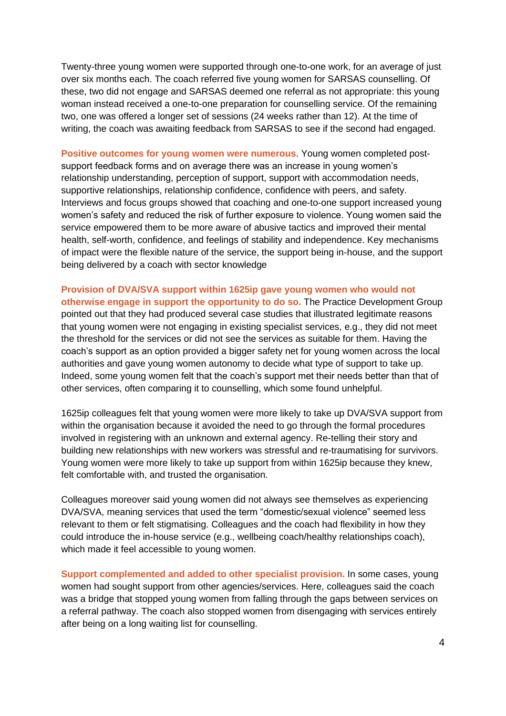Twenty-three young women were supported through one-to-one work, for an average of just over six months each. The coach referred five young women for SARSAS counselling. Of these, two did not engage and SARSAS deemed one referral as not appropriate: this young woman instead received a one-to-one preparation for counselling service. Of the remaining two, one was offered a longer set of sessions (24 weeks rather than 12). At the time of writing, the coach was awaiting feedback from SARSAS to see if the second had engaged.

**Positive outcomes for young women were numerous**. Young women completed postsupport feedback forms and on average there was an increase in young women's relationship understanding, perception of support, support with accommodation needs, supportive relationships, relationship confidence, confidence with peers, and safety. Interviews and focus groups showed that coaching and one-to-one support increased young women's safety and reduced the risk of further exposure to violence. Young women said the service empowered them to be more aware of abusive tactics and improved their mental health, self-worth, confidence, and feelings of stability and independence. Key mechanisms of impact were the flexible nature of the service, the support being in-house, and the support being delivered by a coach with sector knowledge

**Provision of DVA/SVA support within 1625ip gave young women who would not otherwise engage in support the opportunity to do so.** The Practice Development Group pointed out that they had produced several case studies that illustrated legitimate reasons that young women were not engaging in existing specialist services, e.g., they did not meet the threshold for the services or did not see the services as suitable for them. Having the coach's support as an option provided a bigger safety net for young women across the local authorities and gave young women autonomy to decide what type of support to take up. Indeed, some young women felt that the coach's support met their needs better than that of other services, often comparing it to counselling, which some found unhelpful.

1625ip colleagues felt that young women were more likely to take up DVA/SVA support from within the organisation because it avoided the need to go through the formal procedures involved in registering with an unknown and external agency. Re-telling their story and building new relationships with new workers was stressful and re-traumatising for survivors. Young women were more likely to take up support from within 1625ip because they knew, felt comfortable with, and trusted the organisation.

Colleagues moreover said young women did not always see themselves as experiencing DVA/SVA, meaning services that used the term "domestic/sexual violence" seemed less relevant to them or felt stigmatising. Colleagues and the coach had flexibility in how they could introduce the in-house service (e.g., wellbeing coach/healthy relationships coach), which made it feel accessible to young women.

**Support complemented and added to other specialist provision.** In some cases, young women had sought support from other agencies/services. Here, colleagues said the coach was a bridge that stopped young women from falling through the gaps between services on a referral pathway. The coach also stopped women from disengaging with services entirely after being on a long waiting list for counselling.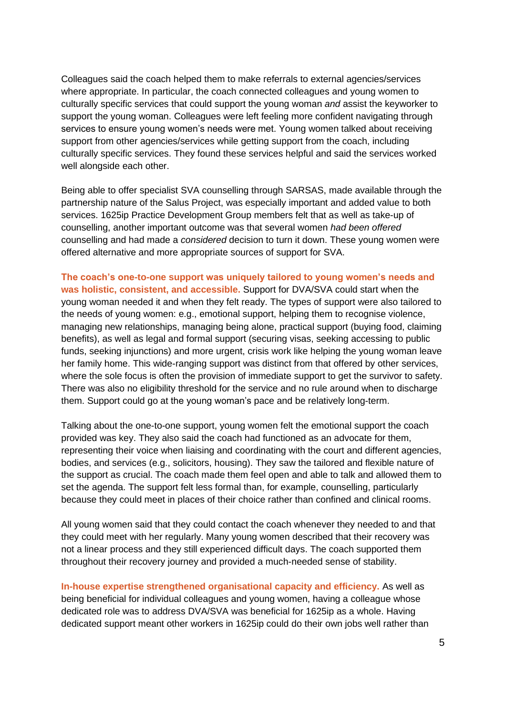Colleagues said the coach helped them to make referrals to external agencies/services where appropriate. In particular, the coach connected colleagues and young women to culturally specific services that could support the young woman *and* assist the keyworker to support the young woman. Colleagues were left feeling more confident navigating through services to ensure young women's needs were met. Young women talked about receiving support from other agencies/services while getting support from the coach, including culturally specific services. They found these services helpful and said the services worked well alongside each other.

Being able to offer specialist SVA counselling through SARSAS, made available through the partnership nature of the Salus Project, was especially important and added value to both services. 1625ip Practice Development Group members felt that as well as take-up of counselling, another important outcome was that several women *had been offered* counselling and had made a *considered* decision to turn it down. These young women were offered alternative and more appropriate sources of support for SVA.

**The coach's one-to-one support was uniquely tailored to young women's needs and was holistic, consistent, and accessible.** Support for DVA/SVA could start when the young woman needed it and when they felt ready. The types of support were also tailored to the needs of young women: e.g., emotional support, helping them to recognise violence, managing new relationships, managing being alone, practical support (buying food, claiming benefits), as well as legal and formal support (securing visas, seeking accessing to public funds, seeking injunctions) and more urgent, crisis work like helping the young woman leave her family home. This wide-ranging support was distinct from that offered by other services, where the sole focus is often the provision of immediate support to get the survivor to safety. There was also no eligibility threshold for the service and no rule around when to discharge them. Support could go at the young woman's pace and be relatively long-term.

Talking about the one-to-one support, young women felt the emotional support the coach provided was key. They also said the coach had functioned as an advocate for them, representing their voice when liaising and coordinating with the court and different agencies, bodies, and services (e.g., solicitors, housing). They saw the tailored and flexible nature of the support as crucial. The coach made them feel open and able to talk and allowed them to set the agenda. The support felt less formal than, for example, counselling, particularly because they could meet in places of their choice rather than confined and clinical rooms.

All young women said that they could contact the coach whenever they needed to and that they could meet with her regularly. Many young women described that their recovery was not a linear process and they still experienced difficult days. The coach supported them throughout their recovery journey and provided a much-needed sense of stability.

**In-house expertise strengthened organisational capacity and efficiency.** As well as being beneficial for individual colleagues and young women, having a colleague whose dedicated role was to address DVA/SVA was beneficial for 1625ip as a whole. Having dedicated support meant other workers in 1625ip could do their own jobs well rather than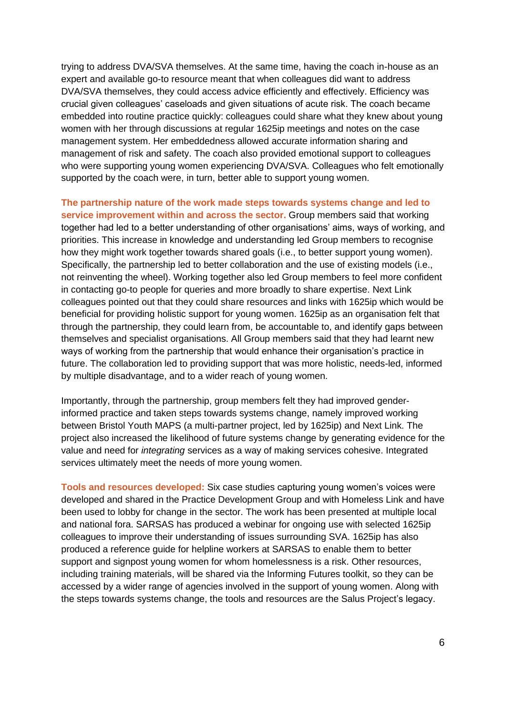trying to address DVA/SVA themselves. At the same time, having the coach in-house as an expert and available go-to resource meant that when colleagues did want to address DVA/SVA themselves, they could access advice efficiently and effectively. Efficiency was crucial given colleagues' caseloads and given situations of acute risk. The coach became embedded into routine practice quickly: colleagues could share what they knew about young women with her through discussions at regular 1625ip meetings and notes on the case management system. Her embeddedness allowed accurate information sharing and management of risk and safety. The coach also provided emotional support to colleagues who were supporting young women experiencing DVA/SVA. Colleagues who felt emotionally supported by the coach were, in turn, better able to support young women.

**The partnership nature of the work made steps towards systems change and led to service improvement within and across the sector.** Group members said that working together had led to a better understanding of other organisations' aims, ways of working, and priorities. This increase in knowledge and understanding led Group members to recognise how they might work together towards shared goals (i.e., to better support young women). Specifically, the partnership led to better collaboration and the use of existing models (i.e., not reinventing the wheel). Working together also led Group members to feel more confident in contacting go-to people for queries and more broadly to share expertise. Next Link colleagues pointed out that they could share resources and links with 1625ip which would be beneficial for providing holistic support for young women. 1625ip as an organisation felt that through the partnership, they could learn from, be accountable to, and identify gaps between themselves and specialist organisations. All Group members said that they had learnt new ways of working from the partnership that would enhance their organisation's practice in future. The collaboration led to providing support that was more holistic, needs-led, informed by multiple disadvantage, and to a wider reach of young women.

Importantly, through the partnership, group members felt they had improved genderinformed practice and taken steps towards systems change, namely improved working between Bristol Youth MAPS (a multi-partner project, led by 1625ip) and Next Link. The project also increased the likelihood of future systems change by generating evidence for the value and need for *integrating* services as a way of making services cohesive. Integrated services ultimately meet the needs of more young women.

**Tools and resources developed:** Six case studies capturing young women's voices were developed and shared in the Practice Development Group and with Homeless Link and have been used to lobby for change in the sector. The work has been presented at multiple local and national fora. SARSAS has produced a webinar for ongoing use with selected 1625ip colleagues to improve their understanding of issues surrounding SVA. 1625ip has also produced a reference guide for helpline workers at SARSAS to enable them to better support and signpost young women for whom homelessness is a risk. Other resources, including training materials, will be shared via the Informing Futures toolkit, so they can be accessed by a wider range of agencies involved in the support of young women. Along with the steps towards systems change, the tools and resources are the Salus Project's legacy.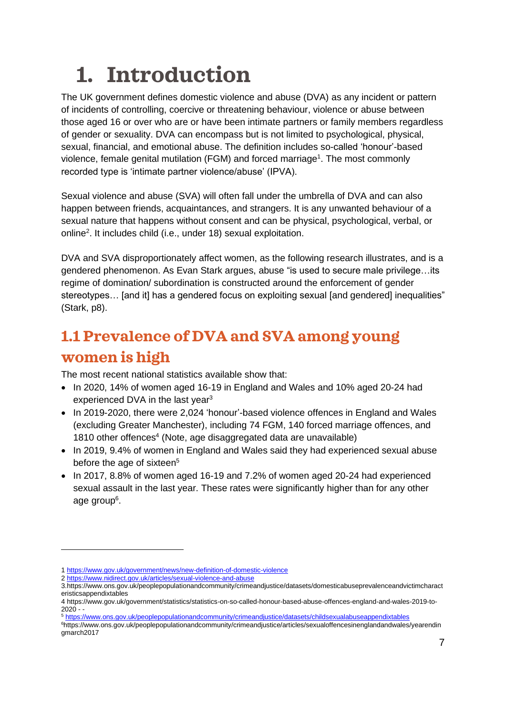# <span id="page-6-0"></span>**1. Introduction**

The UK government defines domestic violence and abuse (DVA) as any incident or pattern of incidents of controlling, coercive or threatening behaviour, violence or abuse between those aged 16 or over who are or have been intimate partners or family members regardless of gender or sexuality. DVA can encompass but is not limited to psychological, physical, sexual, financial, and emotional abuse. The definition includes so-called 'honour'-based violence, female genital mutilation (FGM) and forced marriage<sup>1</sup>. The most commonly recorded type is 'intimate partner violence/abuse' (IPVA).

Sexual violence and abuse (SVA) will often fall under the umbrella of DVA and can also happen between friends, acquaintances, and strangers. It is any unwanted behaviour of a sexual nature that happens without consent and can be physical, psychological, verbal, or online<sup>2</sup> . It includes child (i.e., under 18) sexual exploitation.

DVA and SVA disproportionately affect women, as the following research illustrates, and is a gendered phenomenon. As Evan Stark argues, abuse "is used to secure male privilege…its regime of domination/ subordination is constructed around the enforcement of gender stereotypes... [and it] has a gendered focus on exploiting sexual [and gendered] inequalities" (Stark, p8).

# <span id="page-6-1"></span>**1.1 Prevalence of DVA and SVA among young women is high**

The most recent national statistics available show that:

- In 2020, 14% of women aged 16-19 in England and Wales and 10% aged 20-24 had experienced DVA in the last year<sup>3</sup>
- In 2019-2020, there were 2,024 'honour'-based violence offences in England and Wales (excluding Greater Manchester), including 74 FGM, 140 forced marriage offences, and 1810 other offences<sup>4</sup> (Note, age disaggregated data are unavailable)
- In 2019, 9.4% of women in England and Wales said they had experienced sexual abuse before the age of sixteen<sup>5</sup>
- In 2017, 8.8% of women aged 16-19 and 7.2% of women aged 20-24 had experienced sexual assault in the last year. These rates were significantly higher than for any other age group<sup>6</sup>.

<sup>1</sup> <https://www.gov.uk/government/news/new-definition-of-domestic-violence>

<sup>2</sup> <https://www.nidirect.gov.uk/articles/sexual-violence-and-abuse>

<sup>3.</sup>https://www.ons.gov.uk/peoplepopulationandcommunity/crimeandjustice/datasets/domesticabuseprevalenceandvictimcharact eristicsappendixtables

<sup>4</sup> [https://www.gov.uk/government/statistics/statistics-on-so-called-honour-based-abuse-offences-england-and-wales-2019-to-](https://www.gov.uk/government/statistics/statistics-on-so-called-honour-based-abuse-offences-england-and-wales-2019-to-2020) $2020 2020 -$ 

<sup>5</sup> <https://www.ons.gov.uk/peoplepopulationandcommunity/crimeandjustice/datasets/childsexualabuseappendixtables>

<sup>6</sup>https://www.ons.gov.uk/peoplepopulationandcommunity/crimeandjustice/articles/sexualoffencesinenglandandwales/yearendin gmarch2017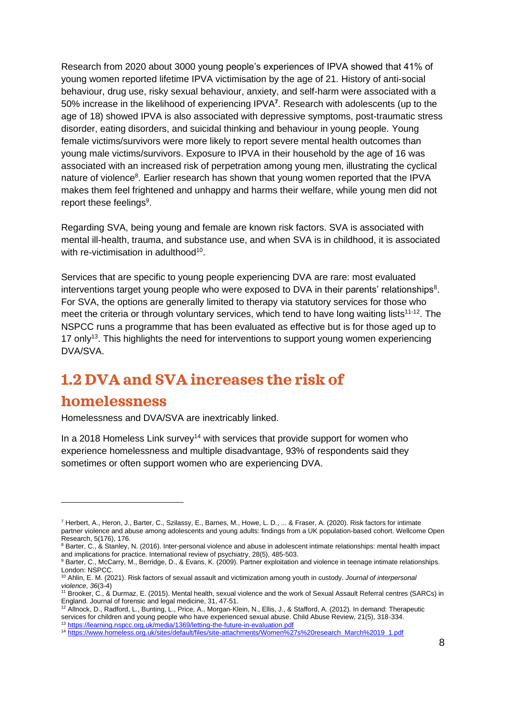Research from 2020 about 3000 young people's experiences of IPVA showed that 41% of young women reported lifetime IPVA victimisation by the age of 21. History of anti-social behaviour, drug use, risky sexual behaviour, anxiety, and self-harm were associated with a 50% increase in the likelihood of experiencing IPVA**<sup>7</sup>** . Research with adolescents (up to the age of 18) showed IPVA is also associated with depressive symptoms, post-traumatic stress disorder, eating disorders, and suicidal thinking and behaviour in young people. Young female victims/survivors were more likely to report severe mental health outcomes than young male victims/survivors. Exposure to IPVA in their household by the age of 16 was associated with an increased risk of perpetration among young men, illustrating the cyclical nature of violence<sup>8</sup>. Earlier research has shown that young women reported that the IPVA makes them feel frightened and unhappy and harms their welfare, while young men did not report these feelings<sup>9</sup>.

Regarding SVA, being young and female are known risk factors. SVA is associated with mental ill-health, trauma, and substance use, and when SVA is in childhood, it is associated with re-victimisation in adulthood<sup>10</sup>.

Services that are specific to young people experiencing DVA are rare: most evaluated interventions target young people who were exposed to DVA in their parents' relationships<sup>8</sup>. For SVA, the options are generally limited to therapy via statutory services for those who meet the criteria or through voluntary services, which tend to have long waiting lists<sup>11-12</sup>. The NSPCC runs a programme that has been evaluated as effective but is for those aged up to 17 only<sup>13</sup>. This highlights the need for interventions to support young women experiencing DVA/SVA.

## <span id="page-7-0"></span>**1.2 DVA and SVA increases the risk of**

### **homelessness**

Homelessness and DVA/SVA are inextricably linked.

In a 2018 Homeless Link survey<sup>14</sup> with services that provide support for women who experience homelessness and multiple disadvantage, 93% of respondents said they sometimes or often support women who are experiencing DVA.

<sup>7</sup> Herbert, A., Heron, J., Barter, C., Szilassy, E., Barnes, M., Howe, L. D., ... & Fraser, A. (2020). Risk factors for intimate partner violence and abuse among adolescents and young adults: findings from a UK population-based cohort. Wellcome Open Research, 5(176), 176.

<sup>&</sup>lt;sup>8</sup> Barter, C., & Stanley, N. (2016). Inter-personal violence and abuse in adolescent intimate relationships: mental health impact and implications for practice. International review of psychiatry, 28(5), 485-503.

<sup>&</sup>lt;sup>9</sup> Barter, C., McCarry, M., Berridge, D., & Evans, K. (2009). Partner exploitation and violence in teenage intimate relationships. London: NSPCC.

<sup>10</sup> Ahlin, E. M. (2021). Risk factors of sexual assault and victimization among youth in custody. *Journal of interpersonal violence*, *36*(3-4)

<sup>11</sup> Brooker, C., & Durmaz, E. (2015). Mental health, sexual violence and the work of Sexual Assault Referral centres (SARCs) in England. Journal of forensic and legal medicine, 31, 47-51.

<sup>12</sup> Allnock, D., Radford, L., Bunting, L., Price, A., Morgan‐Klein, N., Ellis, J., & Stafford, A. (2012). In demand: Therapeutic services for children and young people who have experienced sexual abuse. Child Abuse Review, 21(5), 318-334. <sup>13</sup> <https://learning.nspcc.org.uk/media/1369/letting-the-future-in-evaluation.pdf>

<sup>14</sup> [https://www.homeless.org.uk/sites/default/files/site-attachments/Women%27s%20research\\_March%2019\\_1.pdf](https://www.homeless.org.uk/sites/default/files/site-attachments/Women%27s%20research_March%2019_1.pdf)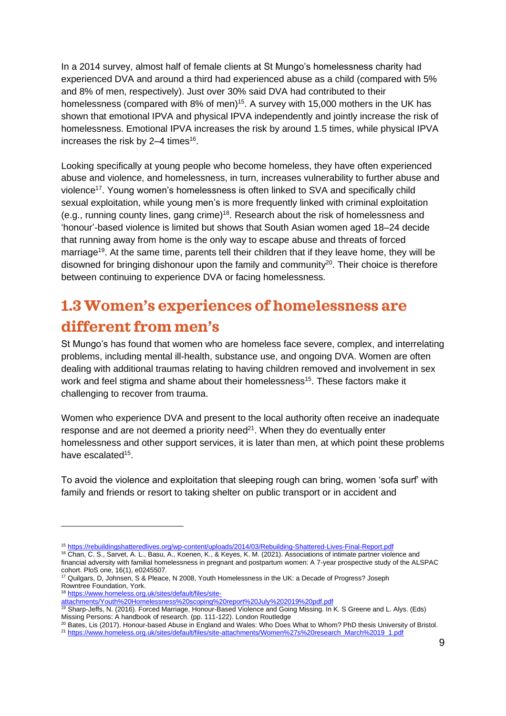In a 2014 survey, almost half of female clients at St Mungo's homelessness charity had experienced DVA and around a third had experienced abuse as a child (compared with 5% and 8% of men, respectively). Just over 30% said DVA had contributed to their homelessness (compared with 8% of men)<sup>15</sup>. A survey with 15,000 mothers in the UK has shown that emotional IPVA and physical IPVA independently and jointly increase the risk of homelessness. Emotional IPVA increases the risk by around 1.5 times, while physical IPVA increases the risk by  $2-4$  times<sup>16</sup>.

Looking specifically at young people who become homeless, they have often experienced abuse and violence, and homelessness, in turn, increases vulnerability to further abuse and violence<sup>17</sup>. Young women's homelessness is often linked to SVA and specifically child sexual exploitation, while young men's is more frequently linked with criminal exploitation (e.g., running county lines, gang crime) 18 . Research about the risk of homelessness and 'honour'-based violence is limited but shows that South Asian women aged 18–24 decide that running away from home is the only way to escape abuse and threats of forced marriage<sup>19</sup>. At the same time, parents tell their children that if they leave home, they will be disowned for bringing dishonour upon the family and community $20$ . Their choice is therefore between continuing to experience DVA or facing homelessness.

# <span id="page-8-0"></span>**1.3 Women's experiences of homelessness are different from men's**

St Mungo's has found that women who are homeless face severe, complex, and interrelating problems, including mental ill-health, substance use, and ongoing DVA. Women are often dealing with additional traumas relating to having children removed and involvement in sex work and feel stigma and shame about their homelessness<sup>15</sup>. These factors make it challenging to recover from trauma.

Women who experience DVA and present to the local authority often receive an inadequate response and are not deemed a priority need $2<sup>1</sup>$ . When they do eventually enter homelessness and other support services, it is later than men, at which point these problems have escalated<sup>15</sup>.

To avoid the violence and exploitation that sleeping rough can bring, women 'sofa surf' with family and friends or resort to taking shelter on public transport or in accident and

<sup>15</sup> <https://rebuildingshatteredlives.org/wp-content/uploads/2014/03/Rebuilding-Shattered-Lives-Final-Report.pdf>

<sup>16</sup> Chan, C. S., Sarvet, A. L., Basu, A., Koenen, K., & Keyes, K. M. (2021). Associations of intimate partner violence and financial adversity with familial homelessness in pregnant and postpartum women: A 7-year prospective study of the ALSPAC cohort. PloS one, 16(1), e0245507.

<sup>&</sup>lt;sup>17</sup> Quilgars, D, Johnsen, S & Pleace, N 2008, Youth Homelessness in the UK: a Decade of Progress? Joseph Rowntree Foundation, York.

<sup>18</sup> [https://www.homeless.org.uk/sites/default/files/site-](https://www.homeless.org.uk/sites/default/files/site-attachments/Youth%20Homelessness%20scoping%20report%20July%202019%20pdf.pdf)

[attachments/Youth%20Homelessness%20scoping%20report%20July%202019%20pdf.pdf](https://www.homeless.org.uk/sites/default/files/site-attachments/Youth%20Homelessness%20scoping%20report%20July%202019%20pdf.pdf)

<sup>19</sup> Sharp-Jeffs, N. (2016). Forced Marriage, Honour-Based Violence and Going Missing. In K. S Greene and L. Alys. (Eds) Missing Persons: A handbook of research. (pp. 111-122). London Routledge

 $^{20}$  Bates, Lis (2017). Honour-based Abuse in England and Wales: Who Does What to Whom? PhD thesis University of Bristol.

<sup>21</sup> [https://www.homeless.org.uk/sites/default/files/site-attachments/Women%27s%20research\\_March%2019\\_1.pdf](https://www.homeless.org.uk/sites/default/files/site-attachments/Women%27s%20research_March%2019_1.pdf)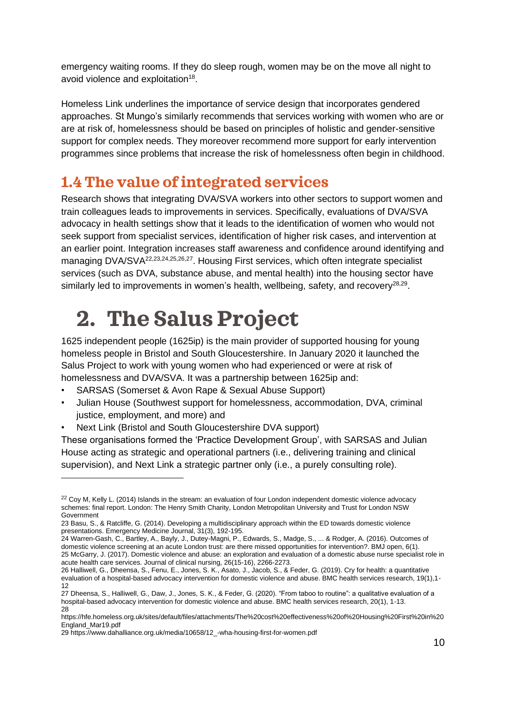emergency waiting rooms. If they do sleep rough, women may be on the move all night to avoid violence and exploitation<sup>18</sup>.

Homeless Link underlines the importance of service design that incorporates gendered approaches. St Mungo's similarly recommends that services working with women who are or are at risk of, homelessness should be based on principles of holistic and gender-sensitive support for complex needs. They moreover recommend more support for early intervention programmes since problems that increase the risk of homelessness often begin in childhood.

### <span id="page-9-0"></span>**1.4 The value of integrated services**

Research shows that integrating DVA/SVA workers into other sectors to support women and train colleagues leads to improvements in services. Specifically, evaluations of DVA/SVA advocacy in health settings show that it leads to the identification of women who would not seek support from specialist services, identification of higher risk cases, and intervention at an earlier point. Integration increases staff awareness and confidence around identifying and managing DVA/SVA<sup>22,23,24,25,26,27</sup>. Housing First services, which often integrate specialist services (such as DVA, substance abuse, and mental health) into the housing sector have similarly led to improvements in women's health, wellbeing, safety, and recovery<sup>28,29</sup>.

# <span id="page-9-1"></span>**2. The Salus Project**

1625 independent people (1625ip) is the main provider of supported housing for young homeless people in Bristol and South Gloucestershire. In January 2020 it launched the Salus Project to work with young women who had experienced or were at risk of homelessness and DVA/SVA. It was a partnership between 1625ip and:

- SARSAS (Somerset & Avon Rape & Sexual Abuse Support)
- Julian House (Southwest support for homelessness, accommodation, DVA, criminal justice, employment, and more) and
- Next Link (Bristol and South Gloucestershire DVA support)

These organisations formed the 'Practice Development Group', with SARSAS and Julian House acting as strategic and operational partners (i.e., delivering training and clinical supervision), and Next Link a strategic partner only (i.e., a purely consulting role).

<sup>&</sup>lt;sup>22</sup> Coy M, Kelly L. (2014) Islands in the stream: an evaluation of four London independent domestic violence advocacy schemes: final report. London: The Henry Smith Charity, London Metropolitan University and Trust for London NSW Government

<sup>23</sup> Basu, S., & Ratcliffe, G. (2014). Developing a multidisciplinary approach within the ED towards domestic violence presentations. Emergency Medicine Journal, 31(3), 192-195.

<sup>24</sup> Warren-Gash, C., Bartley, A., Bayly, J., Dutey-Magni, P., Edwards, S., Madge, S., ... & Rodger, A. (2016). Outcomes of domestic violence screening at an acute London trust: are there missed opportunities for intervention?. BMJ open, 6(1). 25 McGarry, J. (2017). Domestic violence and abuse: an exploration and evaluation of a domestic abuse nurse specialist role in acute health care services. Journal of clinical nursing, 26(15-16), 2266-2273.

<sup>26</sup> Halliwell, G., Dheensa, S., Fenu, E., Jones, S. K., Asato, J., Jacob, S., & Feder, G. (2019). Cry for health: a quantitative evaluation of a hospital-based advocacy intervention for domestic violence and abuse. BMC health services research, 19(1),1- 12

<sup>27</sup> Dheensa, S., Halliwell, G., Daw, J., Jones, S. K., & Feder, G. (2020). "From taboo to routine": a qualitative evaluation of a hospital-based advocacy intervention for domestic violence and abuse. BMC health services research, 20(1), 1-13. 28

[https://hfe.homeless.org.uk/sites/default/files/attachments/The%20cost%20effectiveness%20of%20Housing%20First%20in%20](https://hfe.homeless.org.uk/sites/default/files/attachments/The%20cost%20effectiveness%20of%20Housing%20First%20in%20England_Mar19.pdf) [England\\_Mar19.pdf](https://hfe.homeless.org.uk/sites/default/files/attachments/The%20cost%20effectiveness%20of%20Housing%20First%20in%20England_Mar19.pdf)

<sup>29</sup> [https://www.dahalliance.org.uk/media/10658/12\\_-wha-housing-first-for-women.pdf](https://www.dahalliance.org.uk/media/10658/12_-wha-housing-first-for-women.pdf)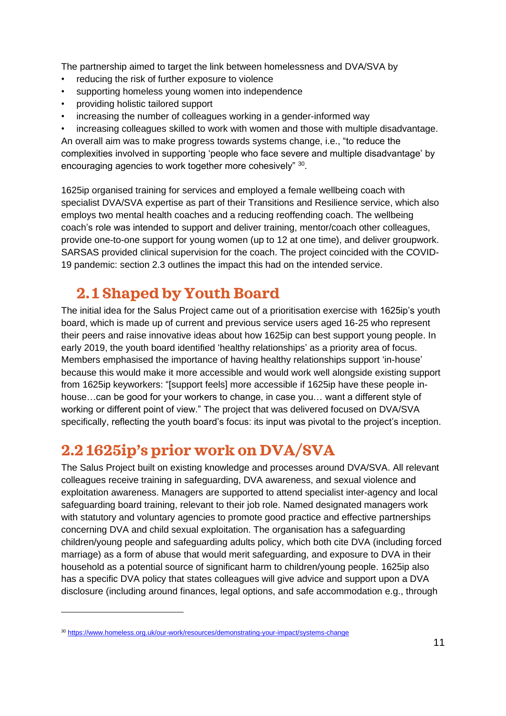The partnership aimed to target the link between homelessness and DVA/SVA by

- reducing the risk of further exposure to violence
- supporting homeless young women into independence
- providing holistic tailored support
- increasing the number of colleagues working in a gender-informed way
- increasing colleagues skilled to work with women and those with multiple disadvantage.

An overall aim was to make progress towards systems change, i.e., "to reduce the complexities involved in supporting 'people who face severe and multiple disadvantage' by encouraging agencies to work together more cohesively" 30.

1625ip organised training for services and employed a female wellbeing coach with specialist DVA/SVA expertise as part of their Transitions and Resilience service, which also employs two mental health coaches and a reducing reoffending coach. The wellbeing coach's role was intended to support and deliver training, mentor/coach other colleagues, provide one-to-one support for young women (up to 12 at one time), and deliver groupwork. SARSAS provided clinical supervision for the coach. The project coincided with the COVID-19 pandemic: section 2.3 outlines the impact this had on the intended service.

## <span id="page-10-0"></span>**2. 1 Shaped by Youth Board**

The initial idea for the Salus Project came out of a prioritisation exercise with 1625ip's youth board, which is made up of current and previous service users aged 16-25 who represent their peers and raise innovative ideas about how 1625ip can best support young people. In early 2019, the youth board identified 'healthy relationships' as a priority area of focus. Members emphasised the importance of having healthy relationships support 'in-house' because this would make it more accessible and would work well alongside existing support from 1625ip keyworkers: "[support feels] more accessible if 1625ip have these people inhouse…can be good for your workers to change, in case you… want a different style of working or different point of view." The project that was delivered focused on DVA/SVA specifically, reflecting the youth board's focus: its input was pivotal to the project's inception.

# <span id="page-10-1"></span>**2.2 1625ip's prior work on DVA/SVA**

The Salus Project built on existing knowledge and processes around DVA/SVA. All relevant colleagues receive training in safeguarding, DVA awareness, and sexual violence and exploitation awareness. Managers are supported to attend specialist inter-agency and local safeguarding board training, relevant to their job role. Named designated managers work with statutory and voluntary agencies to promote good practice and effective partnerships concerning DVA and child sexual exploitation. The organisation has a safeguarding children/young people and safeguarding adults policy, which both cite DVA (including forced marriage) as a form of abuse that would merit safeguarding, and exposure to DVA in their household as a potential source of significant harm to children/young people. 1625ip also has a specific DVA policy that states colleagues will give advice and support upon a DVA disclosure (including around finances, legal options, and safe accommodation e.g., through

<sup>30</sup> <https://www.homeless.org.uk/our-work/resources/demonstrating-your-impact/systems-change>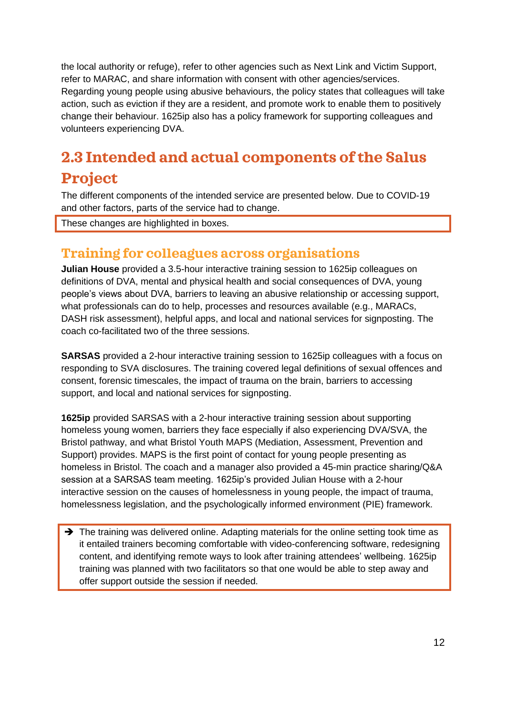the local authority or refuge), refer to other agencies such as Next Link and Victim Support, refer to MARAC, and share information with consent with other agencies/services. Regarding young people using abusive behaviours, the policy states that colleagues will take action, such as eviction if they are a resident, and promote work to enable them to positively change their behaviour. 1625ip also has a policy framework for supporting colleagues and volunteers experiencing DVA.

# <span id="page-11-0"></span>**2.3 Intended and actual components of the Salus Project**

The different components of the intended service are presented below. Due to COVID-19 and other factors, parts of the service had to change.

These changes are highlighted in boxes.

### **Training for colleagues across organisations**

**Julian House** provided a 3.5-hour interactive training session to 1625ip colleagues on definitions of DVA, mental and physical health and social consequences of DVA, young people's views about DVA, barriers to leaving an abusive relationship or accessing support, what professionals can do to help, processes and resources available (e.g., MARACs, DASH risk assessment), helpful apps, and local and national services for signposting. The coach co-facilitated two of the three sessions.

**SARSAS** provided a 2-hour interactive training session to 1625ip colleagues with a focus on responding to SVA disclosures. The training covered legal definitions of sexual offences and consent, forensic timescales, the impact of trauma on the brain, barriers to accessing support, and local and national services for signposting.

**1625ip** provided SARSAS with a 2-hour interactive training session about supporting homeless young women, barriers they face especially if also experiencing DVA/SVA, the Bristol pathway, and what Bristol Youth MAPS (Mediation, Assessment, Prevention and Support) provides. MAPS is the first point of contact for young people presenting as homeless in Bristol. The coach and a manager also provided a 45-min practice sharing/Q&A session at a SARSAS team meeting. 1625ip's provided Julian House with a 2-hour interactive session on the causes of homelessness in young people, the impact of trauma, homelessness legislation, and the psychologically informed environment (PIE) framework.

→ The training was delivered online. Adapting materials for the online setting took time as it entailed trainers becoming comfortable with video-conferencing software, redesigning content, and identifying remote ways to look after training attendees' wellbeing. 1625ip training was planned with two facilitators so that one would be able to step away and offer support outside the session if needed.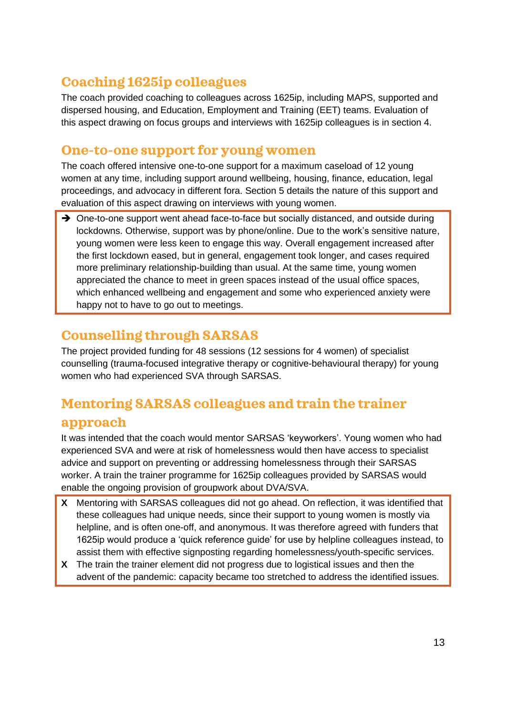## **Coaching 1625ip colleagues**

The coach provided coaching to colleagues across 1625ip, including MAPS, supported and dispersed housing, and Education, Employment and Training (EET) teams. Evaluation of this aspect drawing on focus groups and interviews with 1625ip colleagues is in section 4.

### **One-to-one support for young women**

The coach offered intensive one-to-one support for a maximum caseload of 12 young women at any time, including support around wellbeing, housing, finance, education, legal proceedings, and advocacy in different fora. Section 5 details the nature of this support and evaluation of this aspect drawing on interviews with young women.

→ One-to-one support went ahead face-to-face but socially distanced, and outside during lockdowns. Otherwise, support was by phone/online. Due to the work's sensitive nature, young women were less keen to engage this way. Overall engagement increased after the first lockdown eased, but in general, engagement took longer, and cases required more preliminary relationship-building than usual. At the same time, young women appreciated the chance to meet in green spaces instead of the usual office spaces, which enhanced wellbeing and engagement and some who experienced anxiety were happy not to have to go out to meetings.

### **Counselling through SARSAS**

The project provided funding for 48 sessions (12 sessions for 4 women) of specialist counselling (trauma-focused integrative therapy or cognitive-behavioural therapy) for young women who had experienced SVA through SARSAS.

## **Mentoring SARSAS colleagues and train the trainer**

### **approach**

It was intended that the coach would mentor SARSAS 'keyworkers'. Young women who had experienced SVA and were at risk of homelessness would then have access to specialist advice and support on preventing or addressing homelessness through their SARSAS worker. A train the trainer programme for 1625ip colleagues provided by SARSAS would enable the ongoing provision of groupwork about DVA/SVA.

- **X** Mentoring with SARSAS colleagues did not go ahead. On reflection, it was identified that these colleagues had unique needs, since their support to young women is mostly via helpline, and is often one-off, and anonymous. It was therefore agreed with funders that 1625ip would produce a 'quick reference guide' for use by helpline colleagues instead, to assist them with effective signposting regarding homelessness/youth-specific services.
- **X** The train the trainer element did not progress due to logistical issues and then the advent of the pandemic: capacity became too stretched to address the identified issues.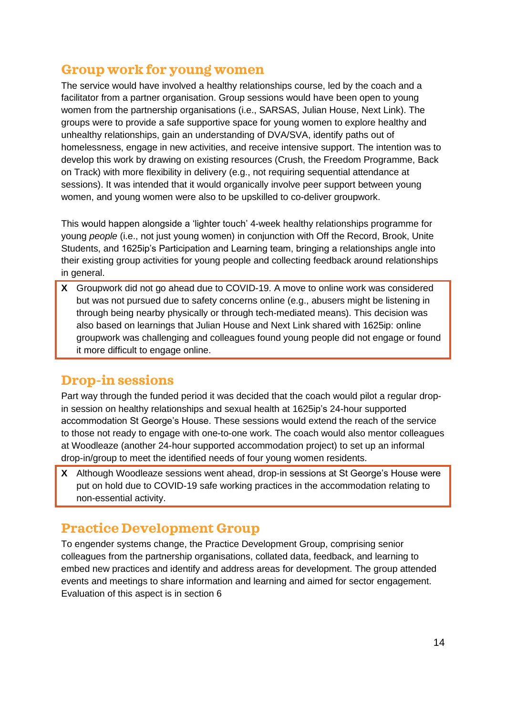### **Group work for young women**

The service would have involved a healthy relationships course, led by the coach and a facilitator from a partner organisation. Group sessions would have been open to young women from the partnership organisations (i.e., SARSAS, Julian House, Next Link). The groups were to provide a safe supportive space for young women to explore healthy and unhealthy relationships, gain an understanding of DVA/SVA, identify paths out of homelessness, engage in new activities, and receive intensive support. The intention was to develop this work by drawing on existing resources (Crush, the Freedom Programme, Back on Track) with more flexibility in delivery (e.g., not requiring sequential attendance at sessions). It was intended that it would organically involve peer support between young women, and young women were also to be upskilled to co-deliver groupwork.

This would happen alongside a 'lighter touch' 4-week healthy relationships programme for young *people* (i.e., not just young women) in conjunction with Off the Record, Brook, Unite Students, and 1625ip's Participation and Learning team, bringing a relationships angle into their existing group activities for young people and collecting feedback around relationships in general.

**X** Groupwork did not go ahead due to COVID-19. A move to online work was considered but was not pursued due to safety concerns online (e.g., abusers might be listening in through being nearby physically or through tech-mediated means). This decision was also based on learnings that Julian House and Next Link shared with 1625ip: online groupwork was challenging and colleagues found young people did not engage or found it more difficult to engage online.

### **Drop-in sessions**

Part way through the funded period it was decided that the coach would pilot a regular dropin session on healthy relationships and sexual health at 1625ip's 24-hour supported accommodation St George's House. These sessions would extend the reach of the service to those not ready to engage with one-to-one work. The coach would also mentor colleagues at Woodleaze (another 24-hour supported accommodation project) to set up an informal drop-in/group to meet the identified needs of four young women residents.

**X** Although Woodleaze sessions went ahead, drop-in sessions at St George's House were put on hold due to COVID-19 safe working practices in the accommodation relating to non-essential activity.

### **Practice Development Group**

To engender systems change, the Practice Development Group, comprising senior colleagues from the partnership organisations, collated data, feedback, and learning to embed new practices and identify and address areas for development. The group attended events and meetings to share information and learning and aimed for sector engagement. Evaluation of this aspect is in section 6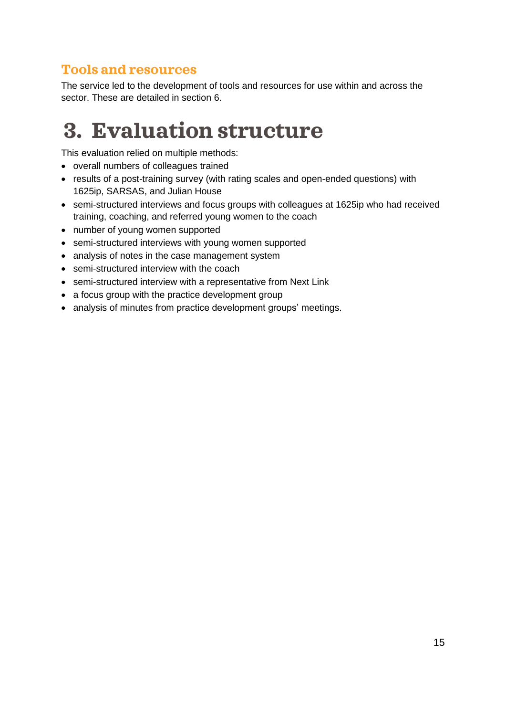### **Tools and resources**

The service led to the development of tools and resources for use within and across the sector. These are detailed in section 6.

# <span id="page-14-0"></span>**3. Evaluation structure**

This evaluation relied on multiple methods:

- overall numbers of colleagues trained
- results of a post-training survey (with rating scales and open-ended questions) with 1625ip, SARSAS, and Julian House
- semi-structured interviews and focus groups with colleagues at 1625ip who had received training, coaching, and referred young women to the coach
- number of young women supported
- semi-structured interviews with young women supported
- analysis of notes in the case management system
- semi-structured interview with the coach
- semi-structured interview with a representative from Next Link
- a focus group with the practice development group
- analysis of minutes from practice development groups' meetings.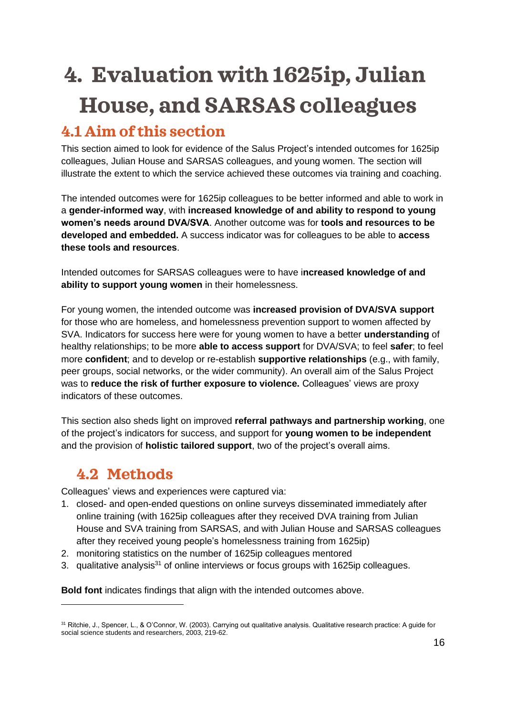# <span id="page-15-0"></span>**4. Evaluation with 1625ip, Julian House, and SARSAS colleagues**

# <span id="page-15-1"></span>**4.1 Aim of this section**

This section aimed to look for evidence of the Salus Project's intended outcomes for 1625ip colleagues, Julian House and SARSAS colleagues, and young women. The section will illustrate the extent to which the service achieved these outcomes via training and coaching.

The intended outcomes were for 1625ip colleagues to be better informed and able to work in a **gender-informed way**, with **increased knowledge of and ability to respond to young women's needs around DVA/SVA**. Another outcome was for **tools and resources to be developed and embedded.** A success indicator was for colleagues to be able to **access these tools and resources**.

Intended outcomes for SARSAS colleagues were to have i**ncreased knowledge of and ability to support young women** in their homelessness.

For young women, the intended outcome was **increased provision of DVA/SVA support**  for those who are homeless, and homelessness prevention support to women affected by SVA. Indicators for success here were for young women to have a better **understanding** of healthy relationships; to be more **able to access support** for DVA/SVA; to feel **safer**; to feel more **confident**; and to develop or re-establish **supportive relationships** (e.g., with family, peer groups, social networks, or the wider community). An overall aim of the Salus Project was to **reduce the risk of further exposure to violence.** Colleagues' views are proxy indicators of these outcomes.

This section also sheds light on improved **referral pathways and partnership working**, one of the project's indicators for success, and support for **young women to be independent** and the provision of **holistic tailored support**, two of the project's overall aims.

# <span id="page-15-2"></span>**4.2 Methods**

Colleagues' views and experiences were captured via:

- 1. closed- and open-ended questions on online surveys disseminated immediately after online training (with 1625ip colleagues after they received DVA training from Julian House and SVA training from SARSAS, and with Julian House and SARSAS colleagues after they received young people's homelessness training from 1625ip)
- 2. monitoring statistics on the number of 1625ip colleagues mentored
- 3. qualitative analysis<sup>31</sup> of online interviews or focus groups with 1625 ip colleagues.

**Bold font** indicates findings that align with the intended outcomes above.

<sup>31</sup> Ritchie, J., Spencer, L., & O'Connor, W. (2003). Carrying out qualitative analysis. Qualitative research practice: A guide for social science students and researchers, 2003, 219-62.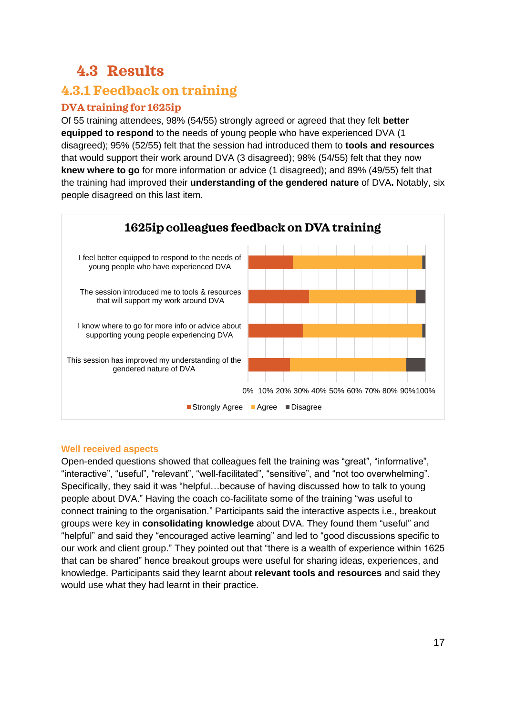# <span id="page-16-0"></span>**4.3 Results**

### **4.3.1 Feedback on training**

### **DVA training for 1625ip**

Of 55 training attendees, 98% (54/55) strongly agreed or agreed that they felt **better equipped to respond** to the needs of young people who have experienced DVA (1 disagreed); 95% (52/55) felt that the session had introduced them to **tools and resources** that would support their work around DVA (3 disagreed); 98% (54/55) felt that they now **knew where to go** for more information or advice (1 disagreed); and 89% (49/55) felt that the training had improved their **understanding of the gendered nature** of DVA**.** Notably, six people disagreed on this last item.



#### **Well received aspects**

Open-ended questions showed that colleagues felt the training was "great", "informative", "interactive", "useful", "relevant", "well-facilitated", "sensitive", and "not too overwhelming". Specifically, they said it was "helpful…because of having discussed how to talk to young people about DVA." Having the coach co-facilitate some of the training "was useful to connect training to the organisation." Participants said the interactive aspects i.e., breakout groups were key in **consolidating knowledge** about DVA. They found them "useful" and "helpful" and said they "encouraged active learning" and led to "good discussions specific to our work and client group." They pointed out that "there is a wealth of experience within 1625 that can be shared" hence breakout groups were useful for sharing ideas, experiences, and knowledge. Participants said they learnt about **relevant tools and resources** and said they would use what they had learnt in their practice.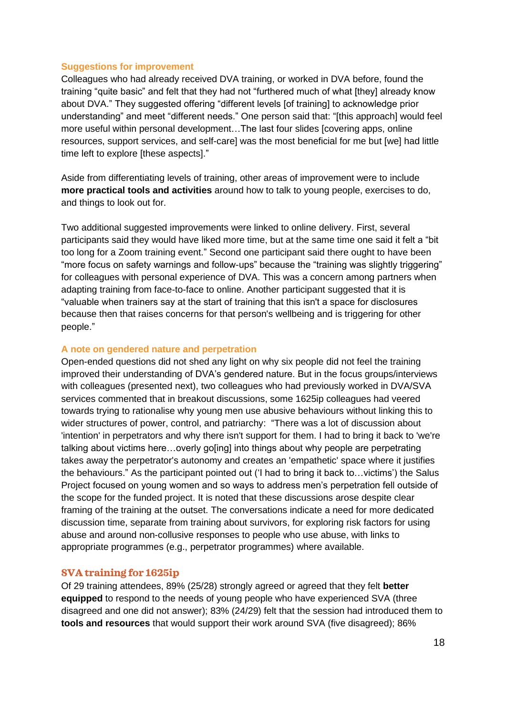#### **Suggestions for improvement**

Colleagues who had already received DVA training, or worked in DVA before, found the training "quite basic" and felt that they had not "furthered much of what [they] already know about DVA." They suggested offering "different levels [of training] to acknowledge prior understanding" and meet "different needs." One person said that: "[this approach] would feel more useful within personal development…The last four slides [covering apps, online resources, support services, and self-care] was the most beneficial for me but [we] had little time left to explore [these aspects]."

Aside from differentiating levels of training, other areas of improvement were to include **more practical tools and activities** around how to talk to young people, exercises to do, and things to look out for.

Two additional suggested improvements were linked to online delivery. First, several participants said they would have liked more time, but at the same time one said it felt a "bit too long for a Zoom training event." Second one participant said there ought to have been "more focus on safety warnings and follow-ups" because the "training was slightly triggering" for colleagues with personal experience of DVA. This was a concern among partners when adapting training from face-to-face to online. Another participant suggested that it is "valuable when trainers say at the start of training that this isn't a space for disclosures because then that raises concerns for that person's wellbeing and is triggering for other people."

#### **A note on gendered nature and perpetration**

Open-ended questions did not shed any light on why six people did not feel the training improved their understanding of DVA's gendered nature. But in the focus groups/interviews with colleagues (presented next), two colleagues who had previously worked in DVA/SVA services commented that in breakout discussions, some 1625ip colleagues had veered towards trying to rationalise why young men use abusive behaviours without linking this to wider structures of power, control, and patriarchy: "There was a lot of discussion about 'intention' in perpetrators and why there isn't support for them. I had to bring it back to 'we're talking about victims here…overly go[ing] into things about why people are perpetrating takes away the perpetrator's autonomy and creates an 'empathetic' space where it justifies the behaviours." As the participant pointed out ('I had to bring it back to…victims') the Salus Project focused on young women and so ways to address men's perpetration fell outside of the scope for the funded project. It is noted that these discussions arose despite clear framing of the training at the outset. The conversations indicate a need for more dedicated discussion time, separate from training about survivors, for exploring risk factors for using abuse and around non-collusive responses to people who use abuse, with links to appropriate programmes (e.g., perpetrator programmes) where available.

#### **SVA training for 1625ip**

Of 29 training attendees, 89% (25/28) strongly agreed or agreed that they felt **better equipped** to respond to the needs of young people who have experienced SVA (three disagreed and one did not answer); 83% (24/29) felt that the session had introduced them to **tools and resources** that would support their work around SVA (five disagreed); 86%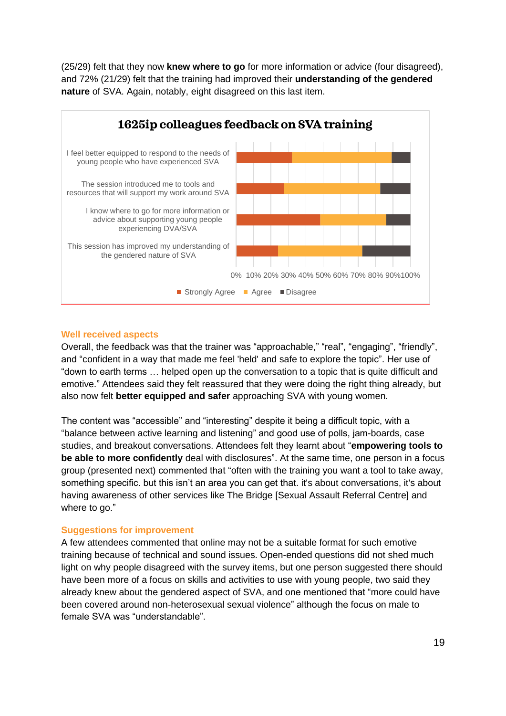(25/29) felt that they now **knew where to go** for more information or advice (four disagreed), and 72% (21/29) felt that the training had improved their **understanding of the gendered nature** of SVA. Again, notably, eight disagreed on this last item.



#### **Well received aspects**

Overall, the feedback was that the trainer was "approachable," "real", "engaging", "friendly", and "confident in a way that made me feel 'held' and safe to explore the topic". Her use of "down to earth terms … helped open up the conversation to a topic that is quite difficult and emotive." Attendees said they felt reassured that they were doing the right thing already, but also now felt **better equipped and safer** approaching SVA with young women.

The content was "accessible" and "interesting" despite it being a difficult topic, with a "balance between active learning and listening" and good use of polls, jam-boards, case studies, and breakout conversations. Attendees felt they learnt about "**empowering tools to be able to more confidently** deal with disclosures". At the same time, one person in a focus group (presented next) commented that "often with the training you want a tool to take away, something specific. but this isn't an area you can get that. it's about conversations, it's about having awareness of other services like The Bridge [Sexual Assault Referral Centre] and where to go."

#### **Suggestions for improvement**

A few attendees commented that online may not be a suitable format for such emotive training because of technical and sound issues. Open-ended questions did not shed much light on why people disagreed with the survey items, but one person suggested there should have been more of a focus on skills and activities to use with young people, two said they already knew about the gendered aspect of SVA, and one mentioned that "more could have been covered around non-heterosexual sexual violence" although the focus on male to female SVA was "understandable".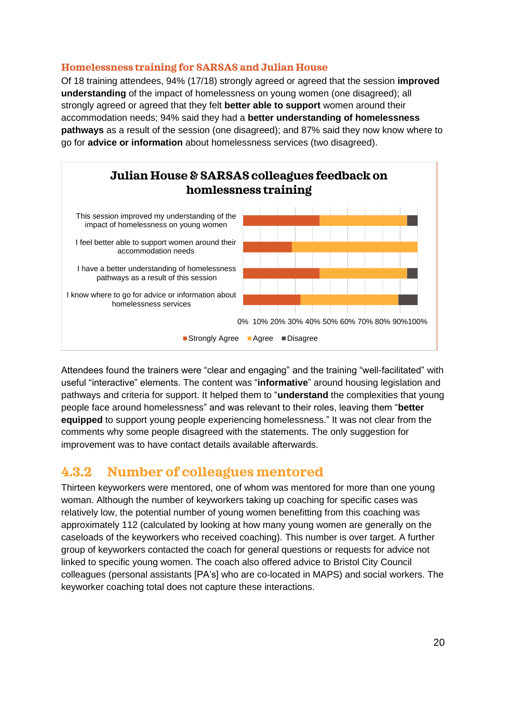#### **Homelessness training for SARSAS and Julian House**

Of 18 training attendees, 94% (17/18) strongly agreed or agreed that the session **improved understanding** of the impact of homelessness on young women (one disagreed); all strongly agreed or agreed that they felt **better able to support** women around their accommodation needs; 94% said they had a **better understanding of homelessness pathways** as a result of the session (one disagreed); and 87% said they now know where to go for **advice or information** about homelessness services (two disagreed).



Attendees found the trainers were "clear and engaging" and the training "well-facilitated" with useful "interactive" elements. The content was "**informative**" around housing legislation and pathways and criteria for support. It helped them to "**understand** the complexities that young people face around homelessness" and was relevant to their roles, leaving them "**better equipped** to support young people experiencing homelessness." It was not clear from the comments why some people disagreed with the statements. The only suggestion for improvement was to have contact details available afterwards.

### **4.3.2 Number of colleagues mentored**

Thirteen keyworkers were mentored, one of whom was mentored for more than one young woman. Although the number of keyworkers taking up coaching for specific cases was relatively low, the potential number of young women benefitting from this coaching was approximately 112 (calculated by looking at how many young women are generally on the caseloads of the keyworkers who received coaching). This number is over target. A further group of keyworkers contacted the coach for general questions or requests for advice not linked to specific young women. The coach also offered advice to Bristol City Council colleagues (personal assistants [PA's] who are co-located in MAPS) and social workers. The keyworker coaching total does not capture these interactions.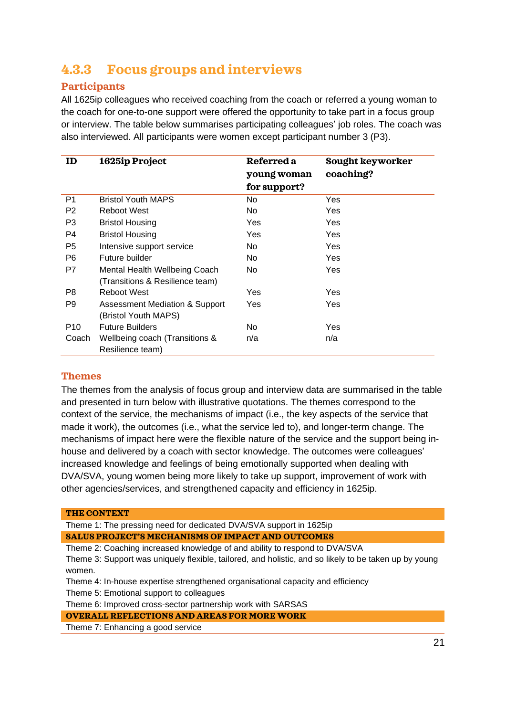### **4.3.3 Focus groups and interviews**

#### **Participants**

All 1625ip colleagues who received coaching from the coach or referred a young woman to the coach for one-to-one support were offered the opportunity to take part in a focus group or interview. The table below summarises participating colleagues' job roles. The coach was also interviewed. All participants were women except participant number 3 (P3).

| ID              | 1625ip Project                  | Referred a   | Sought keyworker |
|-----------------|---------------------------------|--------------|------------------|
|                 |                                 | young woman  | coaching?        |
|                 |                                 | for support? |                  |
| P <sub>1</sub>  | <b>Bristol Youth MAPS</b>       | No.          | Yes              |
| P <sub>2</sub>  | Reboot West                     | No.          | Yes.             |
| P3              | <b>Bristol Housing</b>          | Yes          | Yes              |
| P4              | <b>Bristol Housing</b>          | Yes          | <b>Yes</b>       |
| P <sub>5</sub>  | Intensive support service       | No.          | Yes              |
| P <sub>6</sub>  | Future builder                  | No.          | <b>Yes</b>       |
| P7              | Mental Health Wellbeing Coach   | No.          | Yes              |
|                 | (Transitions & Resilience team) |              |                  |
| P8              | <b>Reboot West</b>              | Yes          | <b>Yes</b>       |
| P9              | Assessment Mediation & Support  | Yes          | <b>Yes</b>       |
|                 | (Bristol Youth MAPS)            |              |                  |
| P <sub>10</sub> | <b>Future Builders</b>          | No.          | Yes              |
| Coach           | Wellbeing coach (Transitions &  | n/a          | n/a              |
|                 | Resilience team)                |              |                  |

#### **Themes**

The themes from the analysis of focus group and interview data are summarised in the table and presented in turn below with illustrative quotations. The themes correspond to the context of the service, the mechanisms of impact (i.e., the key aspects of the service that made it work), the outcomes (i.e., what the service led to), and longer-term change. The mechanisms of impact here were the flexible nature of the service and the support being inhouse and delivered by a coach with sector knowledge. The outcomes were colleagues' increased knowledge and feelings of being emotionally supported when dealing with DVA/SVA, young women being more likely to take up support, improvement of work with other agencies/services, and strengthened capacity and efficiency in 1625ip.

#### **THE CONTEXT**

Theme 1: The pressing need for dedicated DVA/SVA support in 1625ip **SALUS PROJECT'S MECHANISMS OF IMPACT AND OUTCOMES**

Theme 2: Coaching increased knowledge of and ability to respond to DVA/SVA

Theme 3: Support was uniquely flexible, tailored, and holistic, and so likely to be taken up by young women.

Theme 4: In-house expertise strengthened organisational capacity and efficiency

Theme 5: Emotional support to colleagues

Theme 6: Improved cross-sector partnership work with SARSAS

**OVERALL REFLECTIONS AND AREAS FOR MORE WORK**

Theme 7: Enhancing a good service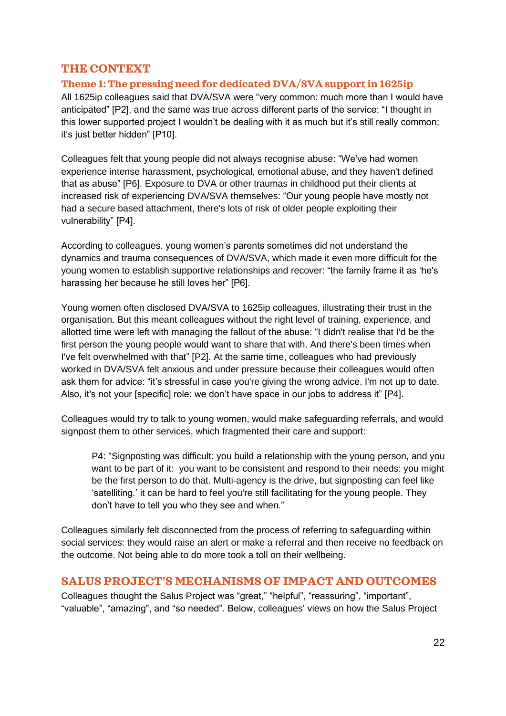#### **THE CONTEXT**

#### **Theme 1: The pressing need for dedicated DVA/SVA support in 1625ip**

All 1625ip colleagues said that DVA/SVA were "very common: much more than I would have anticipated" [P2], and the same was true across different parts of the service: "I thought in this lower supported project I wouldn't be dealing with it as much but it's still really common: it's just better hidden" [P10].

Colleagues felt that young people did not always recognise abuse: "We've had women experience intense harassment, psychological, emotional abuse, and they haven't defined that as abuse" [P6]. Exposure to DVA or other traumas in childhood put their clients at increased risk of experiencing DVA/SVA themselves: "Our young people have mostly not had a secure based attachment, there's lots of risk of older people exploiting their vulnerability" [P4].

According to colleagues, young women's parents sometimes did not understand the dynamics and trauma consequences of DVA/SVA, which made it even more difficult for the young women to establish supportive relationships and recover: "the family frame it as 'he's harassing her because he still loves her" [P6].

Young women often disclosed DVA/SVA to 1625ip colleagues, illustrating their trust in the organisation. But this meant colleagues without the right level of training, experience, and allotted time were left with managing the fallout of the abuse: "I didn't realise that I'd be the first person the young people would want to share that with. And there's been times when I've felt overwhelmed with that" [P2]. At the same time, colleagues who had previously worked in DVA/SVA felt anxious and under pressure because their colleagues would often ask them for advice: "it's stressful in case you're giving the wrong advice. I'm not up to date. Also, it's not your [specific] role: we don't have space in our jobs to address it" [P4].

Colleagues would try to talk to young women, would make safeguarding referrals, and would signpost them to other services, which fragmented their care and support:

P4: "Signposting was difficult: you build a relationship with the young person, and you want to be part of it: you want to be consistent and respond to their needs: you might be the first person to do that. Multi-agency is the drive, but signposting can feel like 'satelliting.' it can be hard to feel you're still facilitating for the young people. They don't have to tell you who they see and when."

Colleagues similarly felt disconnected from the process of referring to safeguarding within social services: they would raise an alert or make a referral and then receive no feedback on the outcome. Not being able to do more took a toll on their wellbeing.

#### **SALUS PROJECT'S MECHANISMS OF IMPACT AND OUTCOMES**

Colleagues thought the Salus Project was "great," "helpful", "reassuring", "important", "valuable", "amazing", and "so needed". Below, colleagues' views on how the Salus Project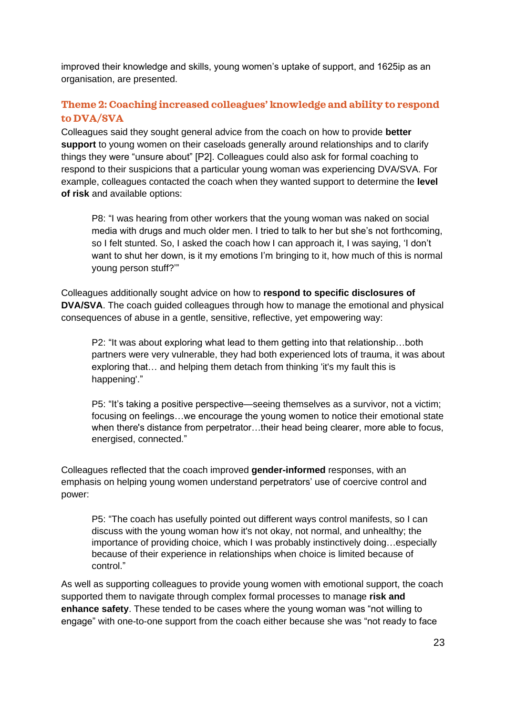improved their knowledge and skills, young women's uptake of support, and 1625ip as an organisation, are presented.

#### **Theme 2: Coaching increased colleagues' knowledge and ability to respond to DVA/SVA**

Colleagues said they sought general advice from the coach on how to provide **better support** to young women on their caseloads generally around relationships and to clarify things they were "unsure about" [P2]. Colleagues could also ask for formal coaching to respond to their suspicions that a particular young woman was experiencing DVA/SVA. For example, colleagues contacted the coach when they wanted support to determine the **level of risk** and available options:

P8: "I was hearing from other workers that the young woman was naked on social media with drugs and much older men. I tried to talk to her but she's not forthcoming, so I felt stunted. So, I asked the coach how I can approach it, I was saying, 'I don't want to shut her down, is it my emotions I'm bringing to it, how much of this is normal young person stuff?'"

Colleagues additionally sought advice on how to **respond to specific disclosures of DVA/SVA**. The coach guided colleagues through how to manage the emotional and physical consequences of abuse in a gentle, sensitive, reflective, yet empowering way:

P2: "It was about exploring what lead to them getting into that relationship…both partners were very vulnerable, they had both experienced lots of trauma, it was about exploring that… and helping them detach from thinking 'it's my fault this is happening'."

P5: "It's taking a positive perspective—seeing themselves as a survivor, not a victim; focusing on feelings…we encourage the young women to notice their emotional state when there's distance from perpetrator…their head being clearer, more able to focus, energised, connected."

Colleagues reflected that the coach improved **gender-informed** responses, with an emphasis on helping young women understand perpetrators' use of coercive control and power:

P5: "The coach has usefully pointed out different ways control manifests, so I can discuss with the young woman how it's not okay, not normal, and unhealthy; the importance of providing choice, which I was probably instinctively doing…especially because of their experience in relationships when choice is limited because of control."

As well as supporting colleagues to provide young women with emotional support, the coach supported them to navigate through complex formal processes to manage **risk and enhance safety**. These tended to be cases where the young woman was "not willing to engage" with one-to-one support from the coach either because she was "not ready to face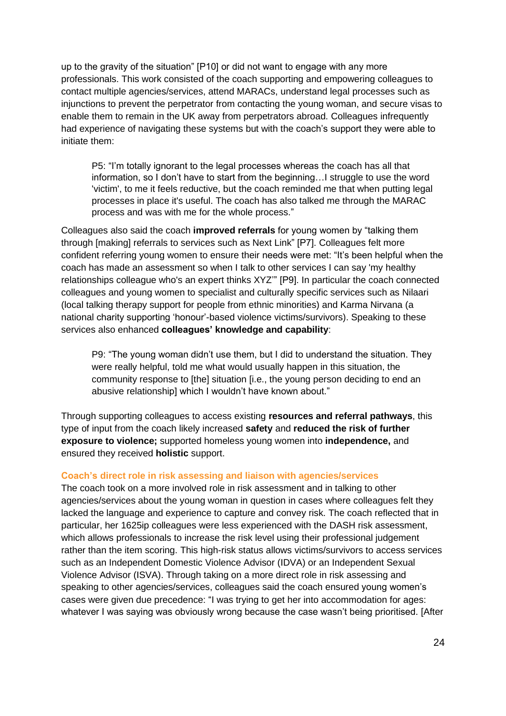up to the gravity of the situation" [P10] or did not want to engage with any more professionals. This work consisted of the coach supporting and empowering colleagues to contact multiple agencies/services, attend MARACs, understand legal processes such as injunctions to prevent the perpetrator from contacting the young woman, and secure visas to enable them to remain in the UK away from perpetrators abroad. Colleagues infrequently had experience of navigating these systems but with the coach's support they were able to initiate them:

P5: "I'm totally ignorant to the legal processes whereas the coach has all that information, so I don't have to start from the beginning…I struggle to use the word 'victim', to me it feels reductive, but the coach reminded me that when putting legal processes in place it's useful. The coach has also talked me through the MARAC process and was with me for the whole process."

Colleagues also said the coach **improved referrals** for young women by "talking them through [making] referrals to services such as Next Link" [P7]. Colleagues felt more confident referring young women to ensure their needs were met: "It's been helpful when the coach has made an assessment so when I talk to other services I can say 'my healthy relationships colleague who's an expert thinks XYZ'" [P9]. In particular the coach connected colleagues and young women to specialist and culturally specific services such as Nilaari (local talking therapy support for people from ethnic minorities) and Karma Nirvana (a national charity supporting 'honour'-based violence victims/survivors). Speaking to these services also enhanced **colleagues' knowledge and capability**:

P9: "The young woman didn't use them, but I did to understand the situation. They were really helpful, told me what would usually happen in this situation, the community response to [the] situation [i.e., the young person deciding to end an abusive relationship] which I wouldn't have known about."

Through supporting colleagues to access existing **resources and referral pathways**, this type of input from the coach likely increased **safety** and **reduced the risk of further exposure to violence;** supported homeless young women into **independence,** and ensured they received **holistic** support.

#### **Coach's direct role in risk assessing and liaison with agencies/services**

The coach took on a more involved role in risk assessment and in talking to other agencies/services about the young woman in question in cases where colleagues felt they lacked the language and experience to capture and convey risk. The coach reflected that in particular, her 1625ip colleagues were less experienced with the DASH risk assessment, which allows professionals to increase the risk level using their professional judgement rather than the item scoring. This high-risk status allows victims/survivors to access services such as an Independent Domestic Violence Advisor (IDVA) or an Independent Sexual Violence Advisor (ISVA). Through taking on a more direct role in risk assessing and speaking to other agencies/services, colleagues said the coach ensured young women's cases were given due precedence: "I was trying to get her into accommodation for ages: whatever I was saying was obviously wrong because the case wasn't being prioritised. [After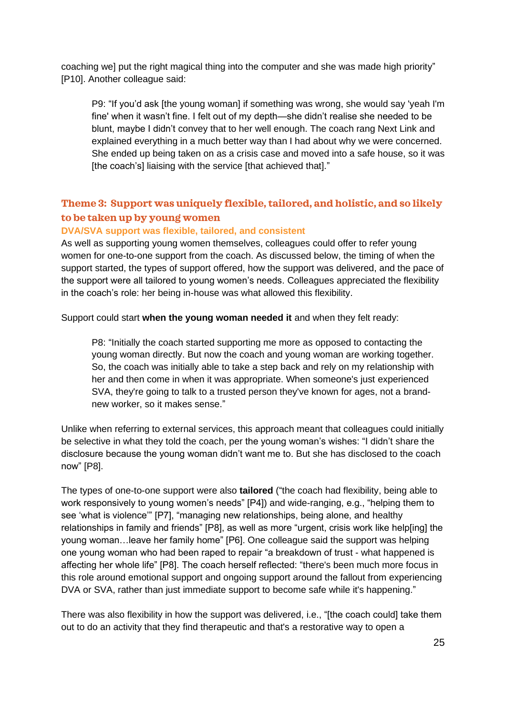coaching we] put the right magical thing into the computer and she was made high priority" [P10]. Another colleague said:

P9: "If you'd ask [the young woman] if something was wrong, she would say 'yeah I'm fine' when it wasn't fine. I felt out of my depth—she didn't realise she needed to be blunt, maybe I didn't convey that to her well enough. The coach rang Next Link and explained everything in a much better way than I had about why we were concerned. She ended up being taken on as a crisis case and moved into a safe house, so it was [the coach's] liaising with the service [that achieved that]."

### **Theme 3: Support was uniquely flexible, tailored, and holistic, and so likely to be taken up by young women**

#### **DVA/SVA support was flexible, tailored, and consistent**

As well as supporting young women themselves, colleagues could offer to refer young women for one-to-one support from the coach. As discussed below, the timing of when the support started, the types of support offered, how the support was delivered, and the pace of the support were all tailored to young women's needs. Colleagues appreciated the flexibility in the coach's role: her being in-house was what allowed this flexibility.

Support could start **when the young woman needed it** and when they felt ready:

P8: "Initially the coach started supporting me more as opposed to contacting the young woman directly. But now the coach and young woman are working together. So, the coach was initially able to take a step back and rely on my relationship with her and then come in when it was appropriate. When someone's just experienced SVA, they're going to talk to a trusted person they've known for ages, not a brandnew worker, so it makes sense."

Unlike when referring to external services, this approach meant that colleagues could initially be selective in what they told the coach, per the young woman's wishes: "I didn't share the disclosure because the young woman didn't want me to. But she has disclosed to the coach now" [P8].

The types of one-to-one support were also **tailored** ("the coach had flexibility, being able to work responsively to young women's needs" [P4]) and wide-ranging, e.g., "helping them to see 'what is violence'" [P7], "managing new relationships, being alone, and healthy relationships in family and friends" [P8], as well as more "urgent, crisis work like help[ing] the young woman…leave her family home" [P6]. One colleague said the support was helping one young woman who had been raped to repair "a breakdown of trust - what happened is affecting her whole life" [P8]. The coach herself reflected: "there's been much more focus in this role around emotional support and ongoing support around the fallout from experiencing DVA or SVA, rather than just immediate support to become safe while it's happening."

There was also flexibility in how the support was delivered, i.e., "[the coach could] take them out to do an activity that they find therapeutic and that's a restorative way to open a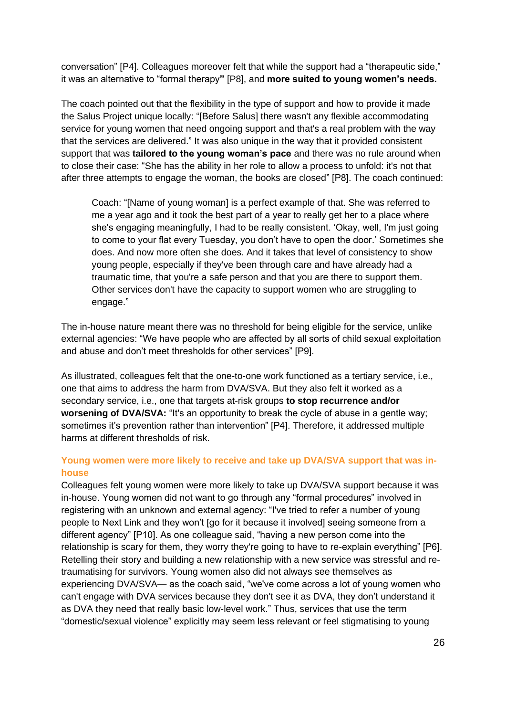conversation" [P4]. Colleagues moreover felt that while the support had a "therapeutic side," it was an alternative to "formal therapy**"** [P8], and **more suited to young women's needs.**

The coach pointed out that the flexibility in the type of support and how to provide it made the Salus Project unique locally: "[Before Salus] there wasn't any flexible accommodating service for young women that need ongoing support and that's a real problem with the way that the services are delivered." It was also unique in the way that it provided consistent support that was **tailored to the young woman's pace** and there was no rule around when to close their case: "She has the ability in her role to allow a process to unfold: it's not that after three attempts to engage the woman, the books are closed" [P8]. The coach continued:

Coach: "[Name of young woman] is a perfect example of that. She was referred to me a year ago and it took the best part of a year to really get her to a place where she's engaging meaningfully, I had to be really consistent. 'Okay, well, I'm just going to come to your flat every Tuesday, you don't have to open the door.' Sometimes she does. And now more often she does. And it takes that level of consistency to show young people, especially if they've been through care and have already had a traumatic time, that you're a safe person and that you are there to support them. Other services don't have the capacity to support women who are struggling to engage."

The in-house nature meant there was no threshold for being eligible for the service, unlike external agencies: "We have people who are affected by all sorts of child sexual exploitation and abuse and don't meet thresholds for other services" [P9].

As illustrated, colleagues felt that the one-to-one work functioned as a tertiary service, i.e., one that aims to address the harm from DVA/SVA. But they also felt it worked as a secondary service, i.e., one that targets at-risk groups **to stop recurrence and/or worsening of DVA/SVA:** "It's an opportunity to break the cycle of abuse in a gentle way; sometimes it's prevention rather than intervention" [P4]. Therefore, it addressed multiple harms at different thresholds of risk.

#### **Young women were more likely to receive and take up DVA/SVA support that was inhouse**

Colleagues felt young women were more likely to take up DVA/SVA support because it was in-house. Young women did not want to go through any "formal procedures" involved in registering with an unknown and external agency: "I've tried to refer a number of young people to Next Link and they won't [go for it because it involved] seeing someone from a different agency" [P10]. As one colleague said, "having a new person come into the relationship is scary for them, they worry they're going to have to re-explain everything" [P6]. Retelling their story and building a new relationship with a new service was stressful and retraumatising for survivors. Young women also did not always see themselves as experiencing DVA/SVA— as the coach said, "we've come across a lot of young women who can't engage with DVA services because they don't see it as DVA, they don't understand it as DVA they need that really basic low-level work." Thus, services that use the term "domestic/sexual violence" explicitly may seem less relevant or feel stigmatising to young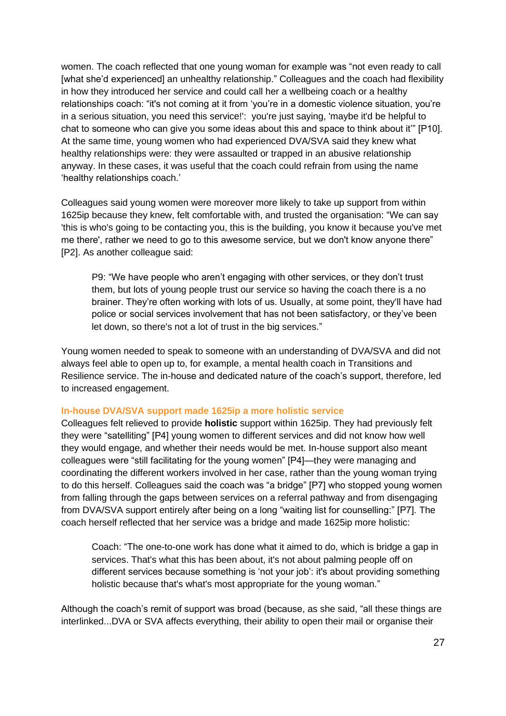women. The coach reflected that one young woman for example was "not even ready to call [what she'd experienced] an unhealthy relationship." Colleagues and the coach had flexibility in how they introduced her service and could call her a wellbeing coach or a healthy relationships coach: "it's not coming at it from 'you're in a domestic violence situation, you're in a serious situation, you need this service!': you're just saying, 'maybe it'd be helpful to chat to someone who can give you some ideas about this and space to think about it'" [P10]. At the same time, young women who had experienced DVA/SVA said they knew what healthy relationships were: they were assaulted or trapped in an abusive relationship anyway. In these cases, it was useful that the coach could refrain from using the name 'healthy relationships coach.'

Colleagues said young women were moreover more likely to take up support from within 1625ip because they knew, felt comfortable with, and trusted the organisation: "We can say 'this is who's going to be contacting you, this is the building, you know it because you've met me there', rather we need to go to this awesome service, but we don't know anyone there" [P2]. As another colleague said:

P9: "We have people who aren't engaging with other services, or they don't trust them, but lots of young people trust our service so having the coach there is a no brainer. They're often working with lots of us. Usually, at some point, they'll have had police or social services involvement that has not been satisfactory, or they've been let down, so there's not a lot of trust in the big services."

Young women needed to speak to someone with an understanding of DVA/SVA and did not always feel able to open up to, for example, a mental health coach in Transitions and Resilience service. The in-house and dedicated nature of the coach's support, therefore, led to increased engagement.

#### **In-house DVA/SVA support made 1625ip a more holistic service**

Colleagues felt relieved to provide **holistic** support within 1625ip. They had previously felt they were "satelliting" [P4] young women to different services and did not know how well they would engage, and whether their needs would be met. In-house support also meant colleagues were "still facilitating for the young women" [P4]—they were managing and coordinating the different workers involved in her case, rather than the young woman trying to do this herself. Colleagues said the coach was "a bridge" [P7] who stopped young women from falling through the gaps between services on a referral pathway and from disengaging from DVA/SVA support entirely after being on a long "waiting list for counselling:" [P7]. The coach herself reflected that her service was a bridge and made 1625ip more holistic:

Coach: "The one-to-one work has done what it aimed to do, which is bridge a gap in services. That's what this has been about, it's not about palming people off on different services because something is 'not your job': it's about providing something holistic because that's what's most appropriate for the young woman."

Although the coach's remit of support was broad (because, as she said, "all these things are interlinked...DVA or SVA affects everything, their ability to open their mail or organise their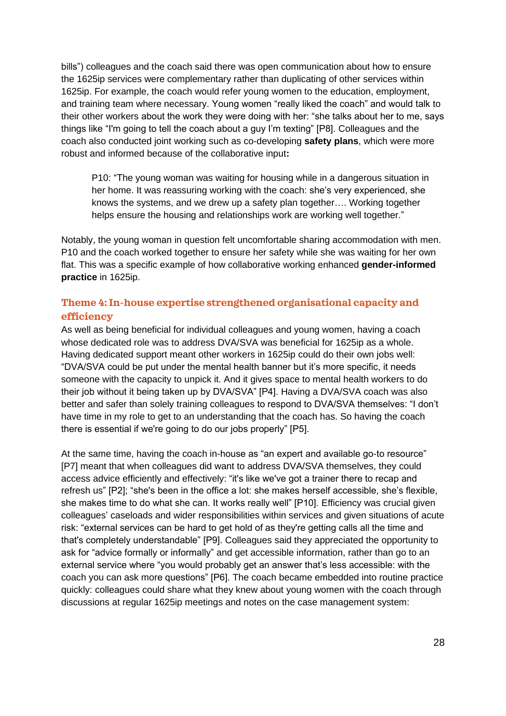bills") colleagues and the coach said there was open communication about how to ensure the 1625ip services were complementary rather than duplicating of other services within 1625ip. For example, the coach would refer young women to the education, employment, and training team where necessary. Young women "really liked the coach" and would talk to their other workers about the work they were doing with her: "she talks about her to me, says things like "I'm going to tell the coach about a guy I'm texting" [P8]. Colleagues and the coach also conducted joint working such as co-developing **safety plans**, which were more robust and informed because of the collaborative input**:** 

P10: "The young woman was waiting for housing while in a dangerous situation in her home. It was reassuring working with the coach: she's very experienced, she knows the systems, and we drew up a safety plan together…. Working together helps ensure the housing and relationships work are working well together."

Notably, the young woman in question felt uncomfortable sharing accommodation with men. P10 and the coach worked together to ensure her safety while she was waiting for her own flat. This was a specific example of how collaborative working enhanced **gender-informed practice** in 1625ip.

#### **Theme 4: In-house expertise strengthened organisational capacity and efficiency**

As well as being beneficial for individual colleagues and young women, having a coach whose dedicated role was to address DVA/SVA was beneficial for 1625ip as a whole. Having dedicated support meant other workers in 1625ip could do their own jobs well: "DVA/SVA could be put under the mental health banner but it's more specific, it needs someone with the capacity to unpick it. And it gives space to mental health workers to do their job without it being taken up by DVA/SVA" [P4]. Having a DVA/SVA coach was also better and safer than solely training colleagues to respond to DVA/SVA themselves: "I don't have time in my role to get to an understanding that the coach has. So having the coach there is essential if we're going to do our jobs properly" [P5].

At the same time, having the coach in-house as "an expert and available go-to resource" [P7] meant that when colleagues did want to address DVA/SVA themselves, they could access advice efficiently and effectively: "it's like we've got a trainer there to recap and refresh us" [P2]; "she's been in the office a lot: she makes herself accessible, she's flexible, she makes time to do what she can. It works really well" [P10]. Efficiency was crucial given colleagues' caseloads and wider responsibilities within services and given situations of acute risk: "external services can be hard to get hold of as they're getting calls all the time and that's completely understandable" [P9]. Colleagues said they appreciated the opportunity to ask for "advice formally or informally" and get accessible information, rather than go to an external service where "you would probably get an answer that's less accessible: with the coach you can ask more questions" [P6]. The coach became embedded into routine practice quickly: colleagues could share what they knew about young women with the coach through discussions at regular 1625ip meetings and notes on the case management system: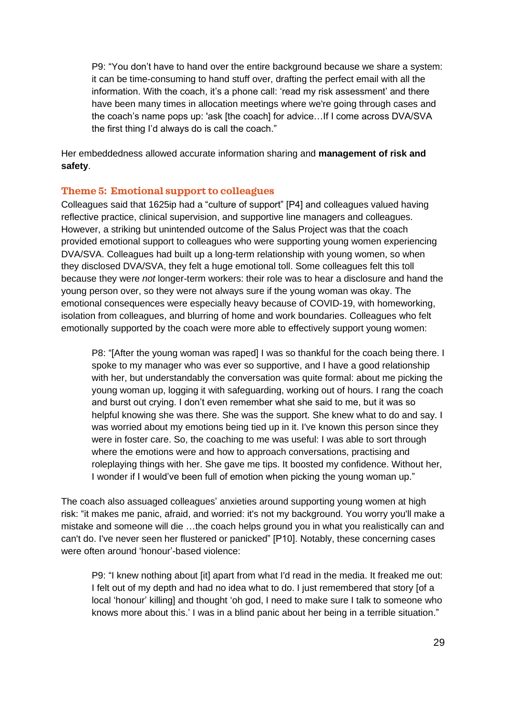P9: "You don't have to hand over the entire background because we share a system: it can be time-consuming to hand stuff over, drafting the perfect email with all the information. With the coach, it's a phone call: 'read my risk assessment' and there have been many times in allocation meetings where we're going through cases and the coach's name pops up: 'ask [the coach] for advice…If I come across DVA/SVA the first thing I'd always do is call the coach."

Her embeddedness allowed accurate information sharing and **management of risk and safety**.

#### **Theme 5: Emotional support to colleagues**

Colleagues said that 1625ip had a "culture of support" [P4] and colleagues valued having reflective practice, clinical supervision, and supportive line managers and colleagues. However, a striking but unintended outcome of the Salus Project was that the coach provided emotional support to colleagues who were supporting young women experiencing DVA/SVA. Colleagues had built up a long-term relationship with young women, so when they disclosed DVA/SVA, they felt a huge emotional toll. Some colleagues felt this toll because they were *not* longer-term workers: their role was to hear a disclosure and hand the young person over, so they were not always sure if the young woman was okay. The emotional consequences were especially heavy because of COVID-19, with homeworking, isolation from colleagues, and blurring of home and work boundaries. Colleagues who felt emotionally supported by the coach were more able to effectively support young women:

P8: "[After the young woman was raped] I was so thankful for the coach being there. I spoke to my manager who was ever so supportive, and I have a good relationship with her, but understandably the conversation was quite formal: about me picking the young woman up, logging it with safeguarding, working out of hours. I rang the coach and burst out crying. I don't even remember what she said to me, but it was so helpful knowing she was there. She was the support. She knew what to do and say. I was worried about my emotions being tied up in it. I've known this person since they were in foster care. So, the coaching to me was useful: I was able to sort through where the emotions were and how to approach conversations, practising and roleplaying things with her. She gave me tips. It boosted my confidence. Without her, I wonder if I would've been full of emotion when picking the young woman up."

The coach also assuaged colleagues' anxieties around supporting young women at high risk: "it makes me panic, afraid, and worried: it's not my background. You worry you'll make a mistake and someone will die …the coach helps ground you in what you realistically can and can't do. I've never seen her flustered or panicked" [P10]. Notably, these concerning cases were often around 'honour'-based violence:

P9: "I knew nothing about [it] apart from what I'd read in the media. It freaked me out: I felt out of my depth and had no idea what to do. I just remembered that story [of a local 'honour' killing] and thought 'oh god, I need to make sure I talk to someone who knows more about this.' I was in a blind panic about her being in a terrible situation."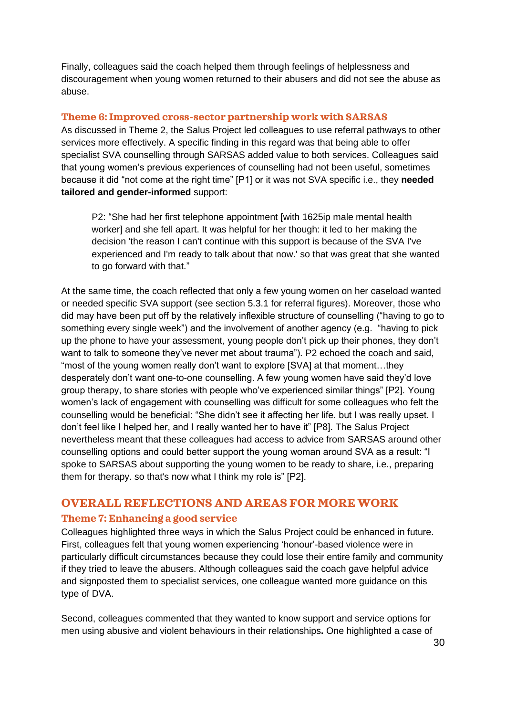Finally, colleagues said the coach helped them through feelings of helplessness and discouragement when young women returned to their abusers and did not see the abuse as abuse.

#### **Theme 6: Improved cross-sector partnership work with SARSAS**

As discussed in Theme 2, the Salus Project led colleagues to use referral pathways to other services more effectively. A specific finding in this regard was that being able to offer specialist SVA counselling through SARSAS added value to both services. Colleagues said that young women's previous experiences of counselling had not been useful, sometimes because it did "not come at the right time" [P1] or it was not SVA specific i.e., they **needed tailored and gender-informed** support:

P2: "She had her first telephone appointment [with 1625ip male mental health worker] and she fell apart. It was helpful for her though: it led to her making the decision 'the reason I can't continue with this support is because of the SVA I've experienced and I'm ready to talk about that now.' so that was great that she wanted to go forward with that."

At the same time, the coach reflected that only a few young women on her caseload wanted or needed specific SVA support (see section 5.3.1 for referral figures). Moreover, those who did may have been put off by the relatively inflexible structure of counselling ("having to go to something every single week") and the involvement of another agency (e.g. "having to pick up the phone to have your assessment, young people don't pick up their phones, they don't want to talk to someone they've never met about trauma"). P2 echoed the coach and said, "most of the young women really don't want to explore [SVA] at that moment…they desperately don't want one-to-one counselling. A few young women have said they'd love group therapy, to share stories with people who've experienced similar things" [P2]. Young women's lack of engagement with counselling was difficult for some colleagues who felt the counselling would be beneficial: "She didn't see it affecting her life. but I was really upset. I don't feel like I helped her, and I really wanted her to have it" [P8]. The Salus Project nevertheless meant that these colleagues had access to advice from SARSAS around other counselling options and could better support the young woman around SVA as a result: "I spoke to SARSAS about supporting the young women to be ready to share, i.e., preparing them for therapy. so that's now what I think my role is" [P2].

#### **OVERALL REFLECTIONS AND AREAS FOR MORE WORK**

#### **Theme 7: Enhancing a good service**

Colleagues highlighted three ways in which the Salus Project could be enhanced in future. First, colleagues felt that young women experiencing 'honour'-based violence were in particularly difficult circumstances because they could lose their entire family and community if they tried to leave the abusers. Although colleagues said the coach gave helpful advice and signposted them to specialist services, one colleague wanted more guidance on this type of DVA.

Second, colleagues commented that they wanted to know support and service options for men using abusive and violent behaviours in their relationships**.** One highlighted a case of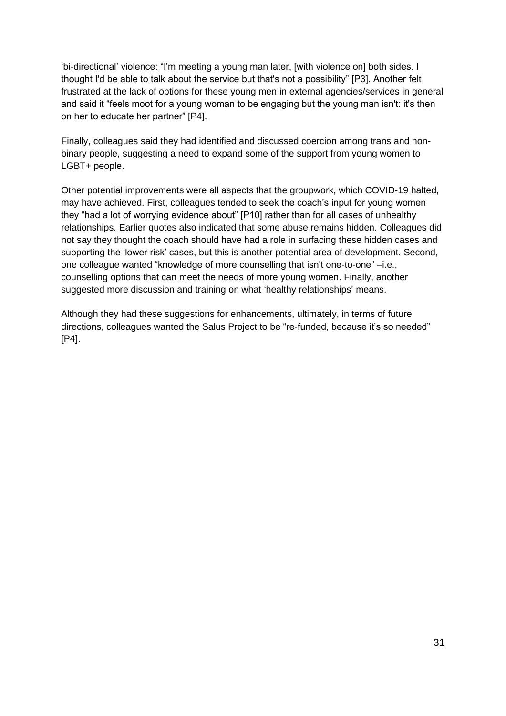'bi-directional' violence: "I'm meeting a young man later, [with violence on] both sides. I thought I'd be able to talk about the service but that's not a possibility" [P3]. Another felt frustrated at the lack of options for these young men in external agencies/services in general and said it "feels moot for a young woman to be engaging but the young man isn't: it's then on her to educate her partner" [P4].

Finally, colleagues said they had identified and discussed coercion among trans and nonbinary people, suggesting a need to expand some of the support from young women to LGBT+ people.

Other potential improvements were all aspects that the groupwork, which COVID-19 halted, may have achieved. First, colleagues tended to seek the coach's input for young women they "had a lot of worrying evidence about" [P10] rather than for all cases of unhealthy relationships. Earlier quotes also indicated that some abuse remains hidden. Colleagues did not say they thought the coach should have had a role in surfacing these hidden cases and supporting the 'lower risk' cases, but this is another potential area of development. Second, one colleague wanted "knowledge of more counselling that isn't one-to-one" –i.e., counselling options that can meet the needs of more young women. Finally, another suggested more discussion and training on what 'healthy relationships' means.

Although they had these suggestions for enhancements, ultimately, in terms of future directions, colleagues wanted the Salus Project to be "re-funded, because it's so needed" [P4].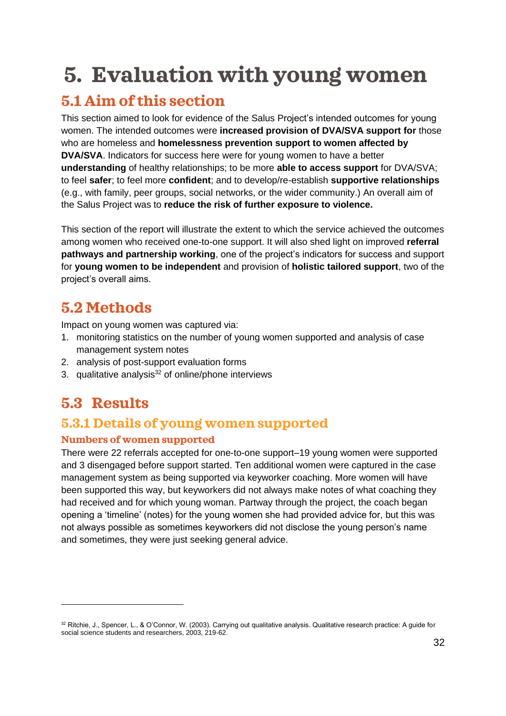# <span id="page-31-0"></span>**5. Evaluation with young women**

# <span id="page-31-1"></span>**5.1 Aim of this section**

This section aimed to look for evidence of the Salus Project's intended outcomes for young women. The intended outcomes were **increased provision of DVA/SVA support for** those who are homeless and **homelessness prevention support to women affected by DVA/SVA**. Indicators for success here were for young women to have a better **understanding** of healthy relationships; to be more **able to access support** for DVA/SVA; to feel **safer**; to feel more **confident**; and to develop/re-establish **supportive relationships** (e.g., with family, peer groups, social networks, or the wider community.) An overall aim of the Salus Project was to **reduce the risk of further exposure to violence.**

This section of the report will illustrate the extent to which the service achieved the outcomes among women who received one-to-one support. It will also shed light on improved **referral pathways and partnership working**, one of the project's indicators for success and support for **young women to be independent** and provision of **holistic tailored support**, two of the project's overall aims.

## <span id="page-31-2"></span>**5.2 Methods**

Impact on young women was captured via:

- 1. monitoring statistics on the number of young women supported and analysis of case management system notes
- 2. analysis of post-support evaluation forms
- 3. qualitative analysis<sup>32</sup> of online/phone interviews

## <span id="page-31-3"></span>**5.3 Results**

### **5.3.1 Details of young women supported**

#### **Numbers of women supported**

There were 22 referrals accepted for one-to-one support–19 young women were supported and 3 disengaged before support started. Ten additional women were captured in the case management system as being supported via keyworker coaching. More women will have been supported this way, but keyworkers did not always make notes of what coaching they had received and for which young woman. Partway through the project, the coach began opening a 'timeline' (notes) for the young women she had provided advice for, but this was not always possible as sometimes keyworkers did not disclose the young person's name and sometimes, they were just seeking general advice.

<sup>32</sup> Ritchie, J., Spencer, L., & O'Connor, W. (2003). Carrying out qualitative analysis. Qualitative research practice: A guide for social science students and researchers, 2003, 219-62.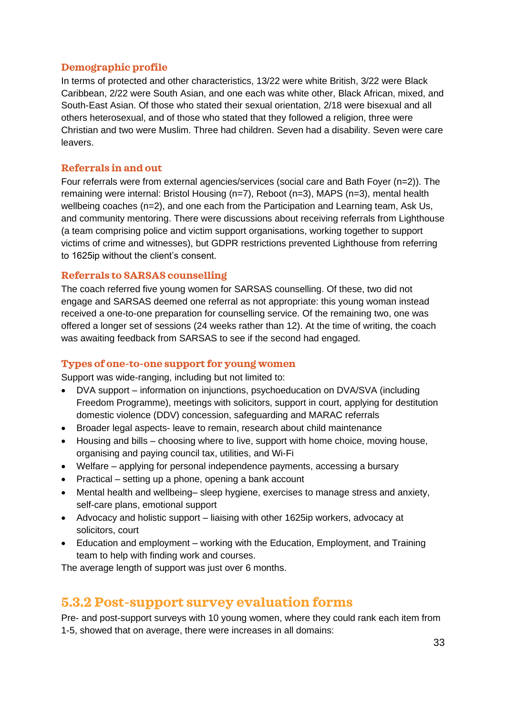#### **Demographic profile**

In terms of protected and other characteristics, 13/22 were white British, 3/22 were Black Caribbean, 2/22 were South Asian, and one each was white other, Black African, mixed, and South-East Asian. Of those who stated their sexual orientation, 2/18 were bisexual and all others heterosexual, and of those who stated that they followed a religion, three were Christian and two were Muslim. Three had children. Seven had a disability. Seven were care leavers.

#### **Referrals in and out**

Four referrals were from external agencies/services (social care and Bath Foyer (n=2)). The remaining were internal: Bristol Housing (n=7), Reboot (n=3), MAPS (n=3), mental health wellbeing coaches (n=2), and one each from the Participation and Learning team, Ask Us, and community mentoring. There were discussions about receiving referrals from Lighthouse (a team comprising police and victim support organisations, working together to support victims of crime and witnesses), but GDPR restrictions prevented Lighthouse from referring to 1625ip without the client's consent.

#### **Referrals to SARSAS counselling**

The coach referred five young women for SARSAS counselling. Of these, two did not engage and SARSAS deemed one referral as not appropriate: this young woman instead received a one-to-one preparation for counselling service. Of the remaining two, one was offered a longer set of sessions (24 weeks rather than 12). At the time of writing, the coach was awaiting feedback from SARSAS to see if the second had engaged.

#### **Types of one-to-one support for young women**

Support was wide-ranging, including but not limited to:

- DVA support information on injunctions, psychoeducation on DVA/SVA (including Freedom Programme), meetings with solicitors, support in court, applying for destitution domestic violence (DDV) concession, safeguarding and MARAC referrals
- Broader legal aspects- leave to remain, research about child maintenance
- Housing and bills choosing where to live, support with home choice, moving house, organising and paying council tax, utilities, and Wi-Fi
- Welfare applying for personal independence payments, accessing a bursary
- Practical setting up a phone, opening a bank account
- Mental health and wellbeing– sleep hygiene, exercises to manage stress and anxiety, self-care plans, emotional support
- Advocacy and holistic support liaising with other 1625ip workers, advocacy at solicitors, court
- Education and employment working with the Education, Employment, and Training team to help with finding work and courses.

The average length of support was just over 6 months.

### **5.3.2 Post-support survey evaluation forms**

Pre- and post-support surveys with 10 young women, where they could rank each item from 1-5, showed that on average, there were increases in all domains: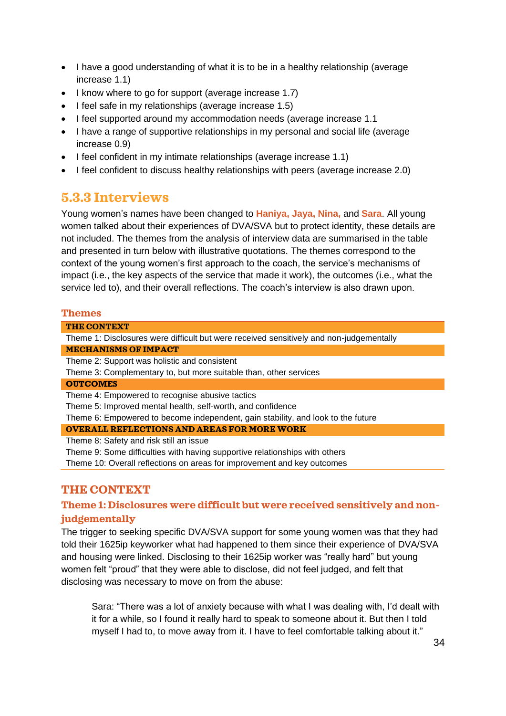- I have a good understanding of what it is to be in a healthy relationship (average increase 1.1)
- I know where to go for support (average increase 1.7)
- I feel safe in my relationships (average increase 1.5)
- I feel supported around my accommodation needs (average increase 1.1)
- I have a range of supportive relationships in my personal and social life (average increase 0.9)
- I feel confident in my intimate relationships (average increase 1.1)
- I feel confident to discuss healthy relationships with peers (average increase 2.0)

### **5.3.3 Interviews**

Young women's names have been changed to **Haniya, Jaya, Nina,** and **Sara**. All young women talked about their experiences of DVA/SVA but to protect identity, these details are not included. The themes from the analysis of interview data are summarised in the table and presented in turn below with illustrative quotations. The themes correspond to the context of the young women's first approach to the coach, the service's mechanisms of impact (i.e., the key aspects of the service that made it work), the outcomes (i.e., what the service led to), and their overall reflections. The coach's interview is also drawn upon.

#### **Themes**

#### **THE CONTEXT**

Theme 1: Disclosures were difficult but were received sensitively and non-judgementally **MECHANISMS OF IMPACT**

Theme 2: Support was holistic and consistent

Theme 3: Complementary to, but more suitable than, other services

#### **OUTCOMES**

Theme 4: Empowered to recognise abusive tactics

Theme 5: Improved mental health, self-worth, and confidence

Theme 6: Empowered to become independent, gain stability, and look to the future

#### **OVERALL REFLECTIONS AND AREAS FOR MORE WORK**

Theme 8: Safety and risk still an issue

Theme 9: Some difficulties with having supportive relationships with others

Theme 10: Overall reflections on areas for improvement and key outcomes

#### **THE CONTEXT**

#### **Theme 1: Disclosures were difficult but were received sensitively and nonjudgementally**

The trigger to seeking specific DVA/SVA support for some young women was that they had told their 1625ip keyworker what had happened to them since their experience of DVA/SVA and housing were linked. Disclosing to their 1625ip worker was "really hard" but young women felt "proud" that they were able to disclose, did not feel judged, and felt that disclosing was necessary to move on from the abuse:

Sara: "There was a lot of anxiety because with what I was dealing with, I'd dealt with it for a while, so I found it really hard to speak to someone about it. But then I told myself I had to, to move away from it. I have to feel comfortable talking about it."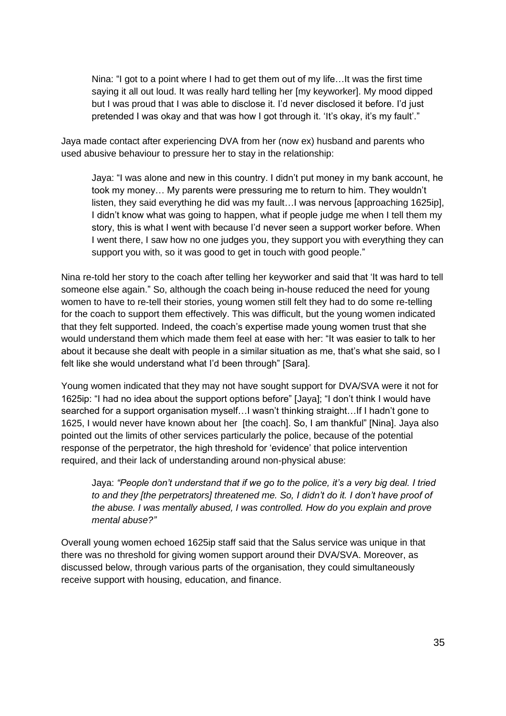Nina: "I got to a point where I had to get them out of my life…It was the first time saying it all out loud. It was really hard telling her [my keyworker]. My mood dipped but I was proud that I was able to disclose it. I'd never disclosed it before. I'd just pretended I was okay and that was how I got through it. 'It's okay, it's my fault'."

Jaya made contact after experiencing DVA from her (now ex) husband and parents who used abusive behaviour to pressure her to stay in the relationship:

Jaya: "I was alone and new in this country. I didn't put money in my bank account, he took my money… My parents were pressuring me to return to him. They wouldn't listen, they said everything he did was my fault…I was nervous [approaching 1625ip], I didn't know what was going to happen, what if people judge me when I tell them my story, this is what I went with because I'd never seen a support worker before. When I went there, I saw how no one judges you, they support you with everything they can support you with, so it was good to get in touch with good people."

Nina re-told her story to the coach after telling her keyworker and said that 'It was hard to tell someone else again." So, although the coach being in-house reduced the need for young women to have to re-tell their stories, young women still felt they had to do some re-telling for the coach to support them effectively. This was difficult, but the young women indicated that they felt supported. Indeed, the coach's expertise made young women trust that she would understand them which made them feel at ease with her: "It was easier to talk to her about it because she dealt with people in a similar situation as me, that's what she said, so I felt like she would understand what I'd been through" [Sara].

Young women indicated that they may not have sought support for DVA/SVA were it not for 1625ip: "I had no idea about the support options before" [Jaya]; "I don't think I would have searched for a support organisation myself…I wasn't thinking straight…If I hadn't gone to 1625, I would never have known about her [the coach]. So, I am thankful" [Nina]. Jaya also pointed out the limits of other services particularly the police, because of the potential response of the perpetrator, the high threshold for 'evidence' that police intervention required, and their lack of understanding around non-physical abuse:

Jaya: *"People don't understand that if we go to the police, it's a very big deal. I tried to and they [the perpetrators] threatened me. So, I didn't do it. I don't have proof of the abuse. I was mentally abused, I was controlled. How do you explain and prove mental abuse?"*

Overall young women echoed 1625ip staff said that the Salus service was unique in that there was no threshold for giving women support around their DVA/SVA. Moreover, as discussed below, through various parts of the organisation, they could simultaneously receive support with housing, education, and finance.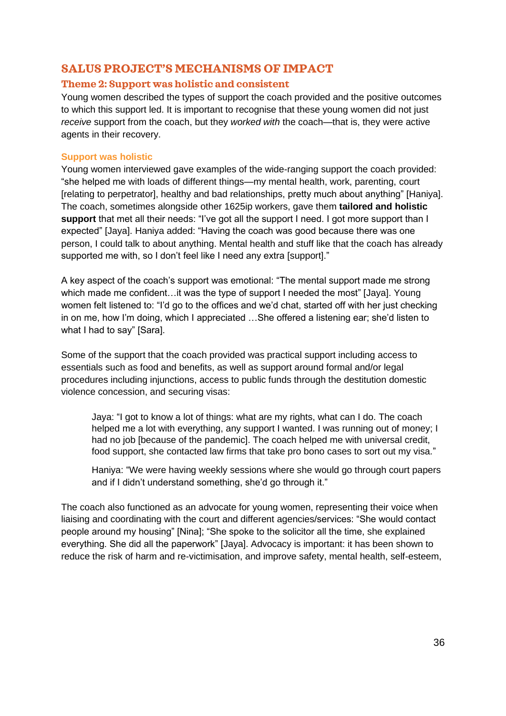### **SALUS PROJECT'S MECHANISMS OF IMPACT**

#### **Theme 2: Support was holistic and consistent**

Young women described the types of support the coach provided and the positive outcomes to which this support led. It is important to recognise that these young women did not just *receive* support from the coach, but they *worked with* the coach—that is, they were active agents in their recovery.

#### **Support was holistic**

Young women interviewed gave examples of the wide-ranging support the coach provided: "she helped me with loads of different things—my mental health, work, parenting, court [relating to perpetrator], healthy and bad relationships, pretty much about anything" [Haniya]. The coach, sometimes alongside other 1625ip workers, gave them **tailored and holistic support** that met all their needs: "I've got all the support I need. I got more support than I expected" [Jaya]. Haniya added: "Having the coach was good because there was one person, I could talk to about anything. Mental health and stuff like that the coach has already supported me with, so I don't feel like I need any extra [support]."

A key aspect of the coach's support was emotional: "The mental support made me strong which made me confident…it was the type of support I needed the most" [Jaya]. Young women felt listened to: "I'd go to the offices and we'd chat, started off with her just checking in on me, how I'm doing, which I appreciated …She offered a listening ear; she'd listen to what I had to say" [Sara].

Some of the support that the coach provided was practical support including access to essentials such as food and benefits, as well as support around formal and/or legal procedures including injunctions, access to public funds through the destitution domestic violence concession, and securing visas:

Jaya: "I got to know a lot of things: what are my rights, what can I do. The coach helped me a lot with everything, any support I wanted. I was running out of money; I had no job [because of the pandemic]. The coach helped me with universal credit, food support, she contacted law firms that take pro bono cases to sort out my visa."

Haniya: "We were having weekly sessions where she would go through court papers and if I didn't understand something, she'd go through it."

The coach also functioned as an advocate for young women, representing their voice when liaising and coordinating with the court and different agencies/services: "She would contact people around my housing" [Nina]; "She spoke to the solicitor all the time, she explained everything. She did all the paperwork" [Jaya]. Advocacy is important: it has been shown to reduce the risk of harm and re-victimisation, and improve safety, mental health, self-esteem,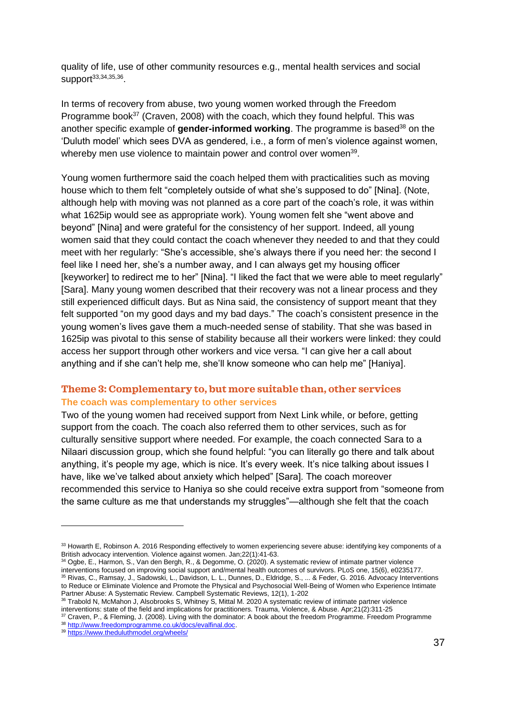quality of life, use of other community resources e.g., mental health services and social support<sup>33,34,35,36</sup>.

In terms of recovery from abuse, two young women worked through the Freedom Programme book $37$  (Craven, 2008) with the coach, which they found helpful. This was another specific example of **gender-informed working**. The programme is based<sup>38</sup> on the 'Duluth model' which sees DVA as gendered, i.e., a form of men's violence against women, whereby men use violence to maintain power and control over women<sup>39</sup>.

Young women furthermore said the coach helped them with practicalities such as moving house which to them felt "completely outside of what she's supposed to do" [Nina]. (Note, although help with moving was not planned as a core part of the coach's role, it was within what 1625ip would see as appropriate work). Young women felt she "went above and beyond" [Nina] and were grateful for the consistency of her support. Indeed, all young women said that they could contact the coach whenever they needed to and that they could meet with her regularly: "She's accessible, she's always there if you need her: the second I feel like I need her, she's a number away, and I can always get my housing officer [keyworker] to redirect me to her" [Nina]. "I liked the fact that we were able to meet regularly" [Sara]. Many young women described that their recovery was not a linear process and they still experienced difficult days. But as Nina said, the consistency of support meant that they felt supported "on my good days and my bad days." The coach's consistent presence in the young women's lives gave them a much-needed sense of stability. That she was based in 1625ip was pivotal to this sense of stability because all their workers were linked: they could access her support through other workers and vice versa. "I can give her a call about anything and if she can't help me, she'll know someone who can help me" [Haniya].

#### **Theme 3: Complementary to, but more suitable than, other services The coach was complementary to other services**

Two of the young women had received support from Next Link while, or before, getting support from the coach. The coach also referred them to other services, such as for culturally sensitive support where needed. For example, the coach connected Sara to a Nilaari discussion group, which she found helpful: "you can literally go there and talk about anything, it's people my age, which is nice. It's every week. It's nice talking about issues I have, like we've talked about anxiety which helped" [Sara]. The coach moreover recommended this service to Haniya so she could receive extra support from "someone from the same culture as me that understands my struggles"—although she felt that the coach

<sup>33</sup> Howarth E, Robinson A. 2016 Responding effectively to women experiencing severe abuse: identifying key components of a British advocacy intervention. Violence against women. Jan;22(1):41-63.

<sup>34</sup> Ogbe, E., Harmon, S., Van den Bergh, R., & Degomme, O. (2020). A systematic review of intimate partner violence interventions focused on improving social support and/mental health outcomes of survivors. PLoS one, 15(6), e0235177. <sup>35</sup> Rivas, C., Ramsay, J., Sadowski, L., Davidson, L. L., Dunnes, D., Eldridge, S., ... & Feder, G. 2016. Advocacy Interventions to Reduce or Eliminate Violence and Promote the Physical and Psychosocial Well‐Being of Women who Experience Intimate Partner Abuse: A Systematic Review. Campbell Systematic Reviews, 12(1), 1-202

<sup>36</sup> Trabold N, McMahon J, Alsobrooks S, Whitney S, Mittal M. 2020 A systematic review of intimate partner violence interventions: state of the field and implications for practitioners. Trauma, Violence, & Abuse. Apr;21(2):311-25

<sup>37</sup> Craven, P., & Fleming, J. (2008). Living with the dominator: A book about the freedom Programme. Freedom Programme <sup>38</sup> [http://www.freedomprogramme.co.uk/docs/evalfinal.doc.](http://www.freedomprogramme.co.uk/docs/evalfinal.doc)

<sup>39</sup> <https://www.theduluthmodel.org/wheels/>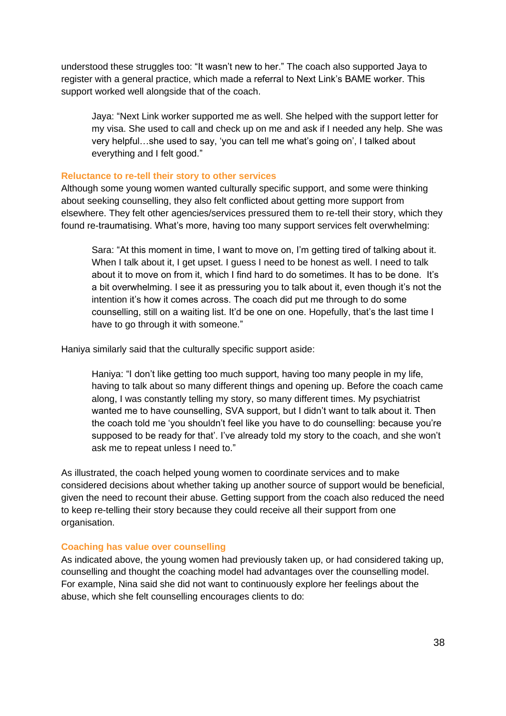understood these struggles too: "It wasn't new to her." The coach also supported Jaya to register with a general practice, which made a referral to Next Link's BAME worker. This support worked well alongside that of the coach.

Jaya: "Next Link worker supported me as well. She helped with the support letter for my visa. She used to call and check up on me and ask if I needed any help. She was very helpful…she used to say, 'you can tell me what's going on', I talked about everything and I felt good."

#### **Reluctance to re-tell their story to other services**

Although some young women wanted culturally specific support, and some were thinking about seeking counselling, they also felt conflicted about getting more support from elsewhere. They felt other agencies/services pressured them to re-tell their story, which they found re-traumatising. What's more, having too many support services felt overwhelming:

Sara: "At this moment in time, I want to move on, I'm getting tired of talking about it. When I talk about it, I get upset. I guess I need to be honest as well. I need to talk about it to move on from it, which I find hard to do sometimes. It has to be done. It's a bit overwhelming. I see it as pressuring you to talk about it, even though it's not the intention it's how it comes across. The coach did put me through to do some counselling, still on a waiting list. It'd be one on one. Hopefully, that's the last time I have to go through it with someone."

Haniya similarly said that the culturally specific support aside:

Haniya: "I don't like getting too much support, having too many people in my life, having to talk about so many different things and opening up. Before the coach came along, I was constantly telling my story, so many different times. My psychiatrist wanted me to have counselling, SVA support, but I didn't want to talk about it. Then the coach told me 'you shouldn't feel like you have to do counselling: because you're supposed to be ready for that'. I've already told my story to the coach, and she won't ask me to repeat unless I need to."

As illustrated, the coach helped young women to coordinate services and to make considered decisions about whether taking up another source of support would be beneficial, given the need to recount their abuse. Getting support from the coach also reduced the need to keep re-telling their story because they could receive all their support from one organisation.

#### **Coaching has value over counselling**

As indicated above, the young women had previously taken up, or had considered taking up, counselling and thought the coaching model had advantages over the counselling model. For example, Nina said she did not want to continuously explore her feelings about the abuse, which she felt counselling encourages clients to do: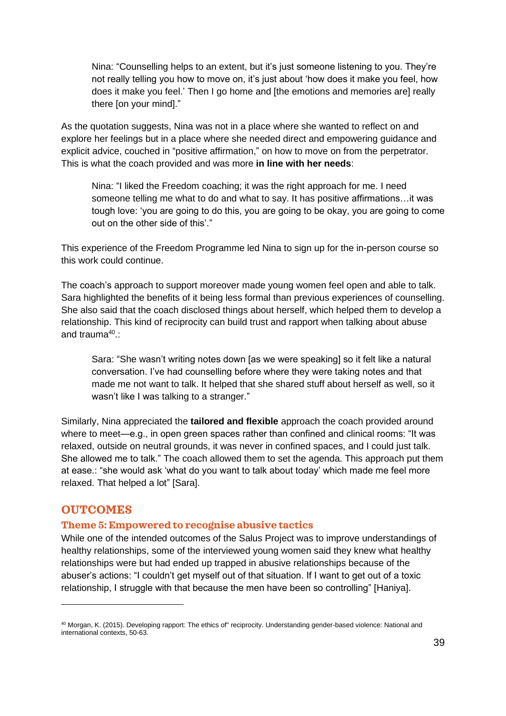Nina: "Counselling helps to an extent, but it's just someone listening to you. They're not really telling you how to move on, it's just about 'how does it make you feel, how does it make you feel.' Then I go home and [the emotions and memories are] really there [on your mind]."

As the quotation suggests, Nina was not in a place where she wanted to reflect on and explore her feelings but in a place where she needed direct and empowering guidance and explicit advice, couched in "positive affirmation," on how to move on from the perpetrator. This is what the coach provided and was more **in line with her needs**:

Nina: "I liked the Freedom coaching; it was the right approach for me. I need someone telling me what to do and what to say. It has positive affirmations…it was tough love: 'you are going to do this, you are going to be okay, you are going to come out on the other side of this'."

This experience of the Freedom Programme led Nina to sign up for the in-person course so this work could continue.

The coach's approach to support moreover made young women feel open and able to talk. Sara highlighted the benefits of it being less formal than previous experiences of counselling. She also said that the coach disclosed things about herself, which helped them to develop a relationship. This kind of reciprocity can build trust and rapport when talking about abuse and trauma<sup>40</sup>.:

Sara: "She wasn't writing notes down [as we were speaking] so it felt like a natural conversation. I've had counselling before where they were taking notes and that made me not want to talk. It helped that she shared stuff about herself as well, so it wasn't like I was talking to a stranger."

Similarly, Nina appreciated the **tailored and flexible** approach the coach provided around where to meet—e.g., in open green spaces rather than confined and clinical rooms: "It was relaxed, outside on neutral grounds, it was never in confined spaces, and I could just talk. She allowed me to talk." The coach allowed them to set the agenda. This approach put them at ease.: "she would ask 'what do you want to talk about today' which made me feel more relaxed. That helped a lot" [Sara].

#### **OUTCOMES**

#### **Theme 5: Empowered to recognise abusive tactics**

While one of the intended outcomes of the Salus Project was to improve understandings of healthy relationships, some of the interviewed young women said they knew what healthy relationships were but had ended up trapped in abusive relationships because of the abuser's actions: "I couldn't get myself out of that situation. If I want to get out of a toxic relationship, I struggle with that because the men have been so controlling" [Haniya].

<sup>40</sup> Morgan, K. (2015). Developing rapport: The ethics of" reciprocity. Understanding gender-based violence: National and international contexts, 50-63.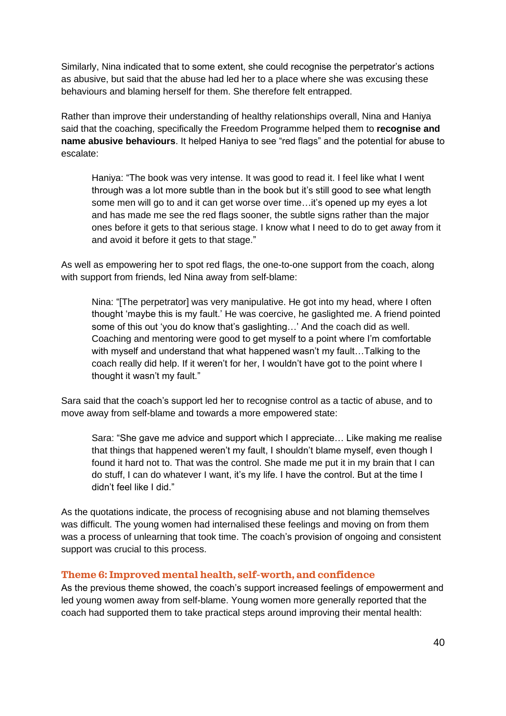Similarly, Nina indicated that to some extent, she could recognise the perpetrator's actions as abusive, but said that the abuse had led her to a place where she was excusing these behaviours and blaming herself for them. She therefore felt entrapped.

Rather than improve their understanding of healthy relationships overall, Nina and Haniya said that the coaching, specifically the Freedom Programme helped them to **recognise and name abusive behaviours**. It helped Haniya to see "red flags" and the potential for abuse to escalate:

Haniya: "The book was very intense. It was good to read it. I feel like what I went through was a lot more subtle than in the book but it's still good to see what length some men will go to and it can get worse over time…it's opened up my eyes a lot and has made me see the red flags sooner, the subtle signs rather than the major ones before it gets to that serious stage. I know what I need to do to get away from it and avoid it before it gets to that stage."

As well as empowering her to spot red flags, the one-to-one support from the coach, along with support from friends, led Nina away from self-blame:

Nina: "[The perpetrator] was very manipulative. He got into my head, where I often thought 'maybe this is my fault.' He was coercive, he gaslighted me. A friend pointed some of this out 'you do know that's gaslighting…' And the coach did as well. Coaching and mentoring were good to get myself to a point where I'm comfortable with myself and understand that what happened wasn't my fault…Talking to the coach really did help. If it weren't for her, I wouldn't have got to the point where I thought it wasn't my fault."

Sara said that the coach's support led her to recognise control as a tactic of abuse, and to move away from self-blame and towards a more empowered state:

Sara: "She gave me advice and support which I appreciate… Like making me realise that things that happened weren't my fault, I shouldn't blame myself, even though I found it hard not to. That was the control. She made me put it in my brain that I can do stuff, I can do whatever I want, it's my life. I have the control. But at the time I didn't feel like I did."

As the quotations indicate, the process of recognising abuse and not blaming themselves was difficult. The young women had internalised these feelings and moving on from them was a process of unlearning that took time. The coach's provision of ongoing and consistent support was crucial to this process.

#### **Theme 6: Improved mental health, self-worth, and confidence**

As the previous theme showed, the coach's support increased feelings of empowerment and led young women away from self-blame. Young women more generally reported that the coach had supported them to take practical steps around improving their mental health: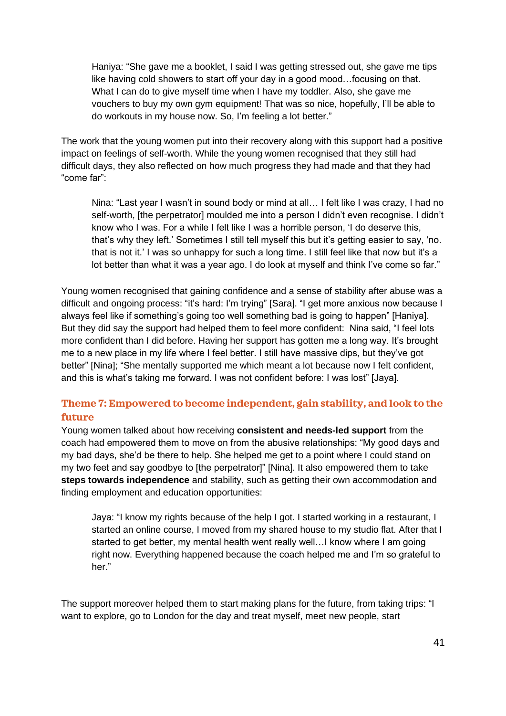Haniya: "She gave me a booklet, I said I was getting stressed out, she gave me tips like having cold showers to start off your day in a good mood…focusing on that. What I can do to give myself time when I have my toddler. Also, she gave me vouchers to buy my own gym equipment! That was so nice, hopefully, I'll be able to do workouts in my house now. So, I'm feeling a lot better."

The work that the young women put into their recovery along with this support had a positive impact on feelings of self-worth. While the young women recognised that they still had difficult days, they also reflected on how much progress they had made and that they had "come far":

Nina: "Last year I wasn't in sound body or mind at all… I felt like I was crazy, I had no self-worth, [the perpetrator] moulded me into a person I didn't even recognise. I didn't know who I was. For a while I felt like I was a horrible person, 'I do deserve this, that's why they left.' Sometimes I still tell myself this but it's getting easier to say, 'no. that is not it.' I was so unhappy for such a long time. I still feel like that now but it's a lot better than what it was a year ago. I do look at myself and think I've come so far."

Young women recognised that gaining confidence and a sense of stability after abuse was a difficult and ongoing process: "it's hard: I'm trying" [Sara]. "I get more anxious now because I always feel like if something's going too well something bad is going to happen" [Haniya]. But they did say the support had helped them to feel more confident: Nina said, "I feel lots more confident than I did before. Having her support has gotten me a long way. It's brought me to a new place in my life where I feel better. I still have massive dips, but they've got better" [Nina]; "She mentally supported me which meant a lot because now I felt confident, and this is what's taking me forward. I was not confident before: I was lost" [Jaya].

#### **Theme 7: Empowered to become independent, gain stability, and look to the future**

Young women talked about how receiving **consistent and needs-led support** from the coach had empowered them to move on from the abusive relationships: "My good days and my bad days, she'd be there to help. She helped me get to a point where I could stand on my two feet and say goodbye to [the perpetrator]" [Nina]. It also empowered them to take **steps towards independence** and stability, such as getting their own accommodation and finding employment and education opportunities:

Jaya: "I know my rights because of the help I got. I started working in a restaurant, I started an online course, I moved from my shared house to my studio flat. After that I started to get better, my mental health went really well…I know where I am going right now. Everything happened because the coach helped me and I'm so grateful to her."

The support moreover helped them to start making plans for the future, from taking trips: "I want to explore, go to London for the day and treat myself, meet new people, start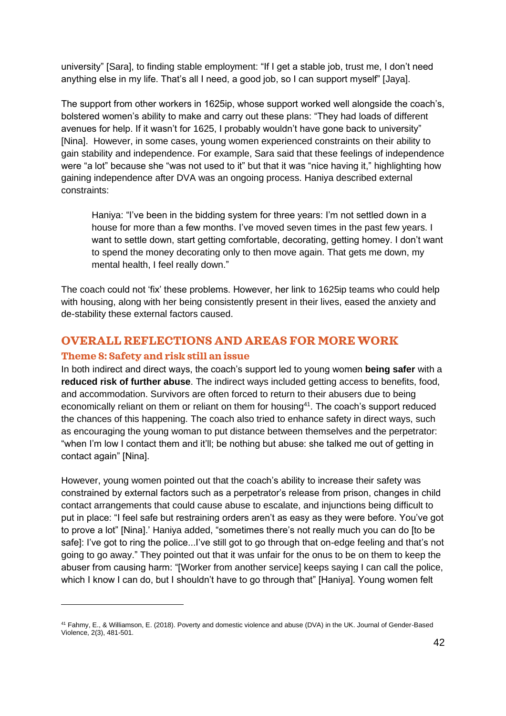university" [Sara], to finding stable employment: "If I get a stable job, trust me, I don't need anything else in my life. That's all I need, a good job, so I can support myself" [Jaya].

The support from other workers in 1625ip, whose support worked well alongside the coach's, bolstered women's ability to make and carry out these plans: "They had loads of different avenues for help. If it wasn't for 1625, I probably wouldn't have gone back to university" [Nina]. However, in some cases, young women experienced constraints on their ability to gain stability and independence. For example, Sara said that these feelings of independence were "a lot" because she "was not used to it" but that it was "nice having it," highlighting how gaining independence after DVA was an ongoing process. Haniya described external constraints:

Haniya: "I've been in the bidding system for three years: I'm not settled down in a house for more than a few months. I've moved seven times in the past few years. I want to settle down, start getting comfortable, decorating, getting homey. I don't want to spend the money decorating only to then move again. That gets me down, my mental health, I feel really down."

The coach could not 'fix' these problems. However, her link to 1625ip teams who could help with housing, along with her being consistently present in their lives, eased the anxiety and de-stability these external factors caused.

### **OVERALL REFLECTIONS AND AREAS FOR MORE WORK**

#### **Theme 8: Safety and risk still an issue**

In both indirect and direct ways, the coach's support led to young women **being safer** with a **reduced risk of further abuse**. The indirect ways included getting access to benefits, food, and accommodation. Survivors are often forced to return to their abusers due to being economically reliant on them or reliant on them for housing<sup>41</sup>. The coach's support reduced the chances of this happening. The coach also tried to enhance safety in direct ways, such as encouraging the young woman to put distance between themselves and the perpetrator: "when I'm low I contact them and it'll; be nothing but abuse: she talked me out of getting in contact again" [Nina].

However, young women pointed out that the coach's ability to increase their safety was constrained by external factors such as a perpetrator's release from prison, changes in child contact arrangements that could cause abuse to escalate, and injunctions being difficult to put in place: "I feel safe but restraining orders aren't as easy as they were before. You've got to prove a lot" [Nina].' Haniya added, "sometimes there's not really much you can do [to be safe]: I've got to ring the police...I've still got to go through that on-edge feeling and that's not going to go away." They pointed out that it was unfair for the onus to be on them to keep the abuser from causing harm: "[Worker from another service] keeps saying I can call the police, which I know I can do, but I shouldn't have to go through that" [Haniya]. Young women felt

<sup>41</sup> Fahmy, E., & Williamson, E. (2018). Poverty and domestic violence and abuse (DVA) in the UK. Journal of Gender-Based Violence, 2(3), 481-501.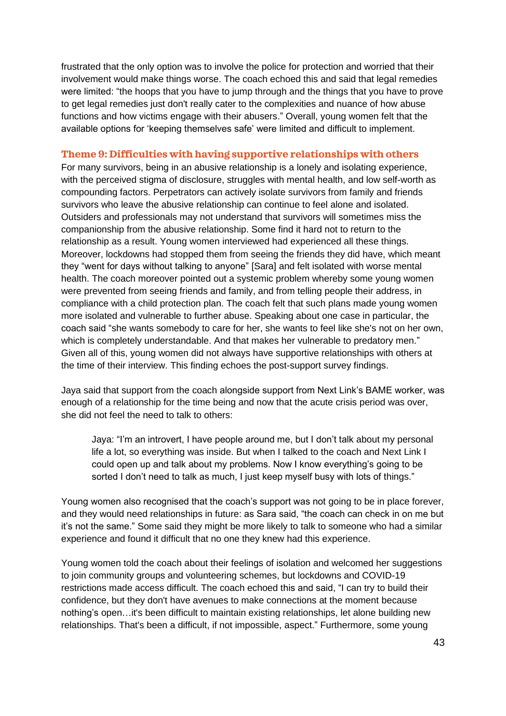frustrated that the only option was to involve the police for protection and worried that their involvement would make things worse. The coach echoed this and said that legal remedies were limited: "the hoops that you have to jump through and the things that you have to prove to get legal remedies just don't really cater to the complexities and nuance of how abuse functions and how victims engage with their abusers." Overall, young women felt that the available options for 'keeping themselves safe' were limited and difficult to implement.

#### **Theme 9: Difficulties with having supportive relationships with others**

For many survivors, being in an abusive relationship is a lonely and isolating experience, with the perceived stigma of disclosure, struggles with mental health, and low self-worth as compounding factors. Perpetrators can actively isolate survivors from family and friends survivors who leave the abusive relationship can continue to feel alone and isolated. Outsiders and professionals may not understand that survivors will sometimes miss the companionship from the abusive relationship. Some find it hard not to return to the relationship as a result. Young women interviewed had experienced all these things. Moreover, lockdowns had stopped them from seeing the friends they did have, which meant they "went for days without talking to anyone" [Sara] and felt isolated with worse mental health. The coach moreover pointed out a systemic problem whereby some young women were prevented from seeing friends and family, and from telling people their address, in compliance with a child protection plan. The coach felt that such plans made young women more isolated and vulnerable to further abuse. Speaking about one case in particular, the coach said "she wants somebody to care for her, she wants to feel like she's not on her own, which is completely understandable. And that makes her vulnerable to predatory men." Given all of this, young women did not always have supportive relationships with others at the time of their interview. This finding echoes the post-support survey findings.

Jaya said that support from the coach alongside support from Next Link's BAME worker, was enough of a relationship for the time being and now that the acute crisis period was over, she did not feel the need to talk to others:

Jaya: "I'm an introvert, I have people around me, but I don't talk about my personal life a lot, so everything was inside. But when I talked to the coach and Next Link I could open up and talk about my problems. Now I know everything's going to be sorted I don't need to talk as much, I just keep myself busy with lots of things."

Young women also recognised that the coach's support was not going to be in place forever, and they would need relationships in future: as Sara said, "the coach can check in on me but it's not the same." Some said they might be more likely to talk to someone who had a similar experience and found it difficult that no one they knew had this experience.

Young women told the coach about their feelings of isolation and welcomed her suggestions to join community groups and volunteering schemes, but lockdowns and COVID-19 restrictions made access difficult. The coach echoed this and said, "I can try to build their confidence, but they don't have avenues to make connections at the moment because nothing's open…it's been difficult to maintain existing relationships, let alone building new relationships. That's been a difficult, if not impossible, aspect." Furthermore, some young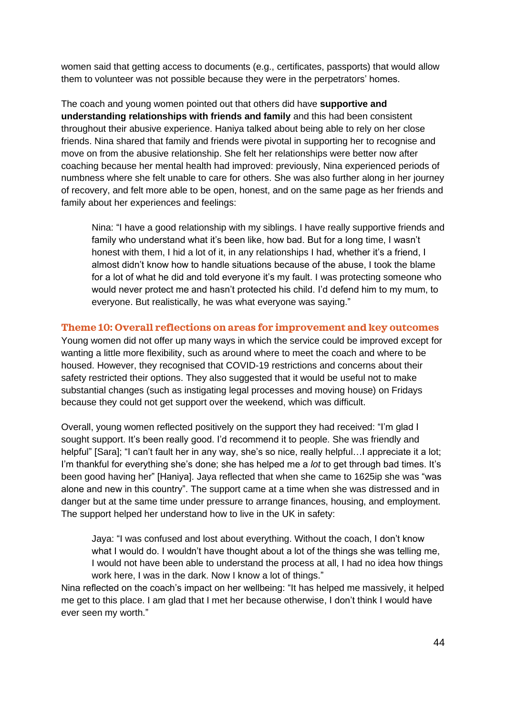women said that getting access to documents (e.g., certificates, passports) that would allow them to volunteer was not possible because they were in the perpetrators' homes.

The coach and young women pointed out that others did have **supportive and understanding relationships with friends and family** and this had been consistent throughout their abusive experience. Haniya talked about being able to rely on her close friends. Nina shared that family and friends were pivotal in supporting her to recognise and move on from the abusive relationship. She felt her relationships were better now after coaching because her mental health had improved: previously, Nina experienced periods of numbness where she felt unable to care for others. She was also further along in her journey of recovery, and felt more able to be open, honest, and on the same page as her friends and family about her experiences and feelings:

Nina: "I have a good relationship with my siblings. I have really supportive friends and family who understand what it's been like, how bad. But for a long time, I wasn't honest with them, I hid a lot of it, in any relationships I had, whether it's a friend, I almost didn't know how to handle situations because of the abuse, I took the blame for a lot of what he did and told everyone it's my fault. I was protecting someone who would never protect me and hasn't protected his child. I'd defend him to my mum, to everyone. But realistically, he was what everyone was saying."

#### **Theme 10: Overall reflections on areas for improvement and key outcomes**

Young women did not offer up many ways in which the service could be improved except for wanting a little more flexibility, such as around where to meet the coach and where to be housed. However, they recognised that COVID-19 restrictions and concerns about their safety restricted their options. They also suggested that it would be useful not to make substantial changes (such as instigating legal processes and moving house) on Fridays because they could not get support over the weekend, which was difficult.

Overall, young women reflected positively on the support they had received: "I'm glad I sought support. It's been really good. I'd recommend it to people. She was friendly and helpful" [Sara]; "I can't fault her in any way, she's so nice, really helpful... appreciate it a lot; I'm thankful for everything she's done; she has helped me a *lot* to get through bad times. It's been good having her" [Haniya]. Jaya reflected that when she came to 1625ip she was "was alone and new in this country". The support came at a time when she was distressed and in danger but at the same time under pressure to arrange finances, housing, and employment. The support helped her understand how to live in the UK in safety:

Jaya: "I was confused and lost about everything. Without the coach, I don't know what I would do. I wouldn't have thought about a lot of the things she was telling me, I would not have been able to understand the process at all, I had no idea how things work here, I was in the dark. Now I know a lot of things."

Nina reflected on the coach's impact on her wellbeing: "It has helped me massively, it helped me get to this place. I am glad that I met her because otherwise, I don't think I would have ever seen my worth."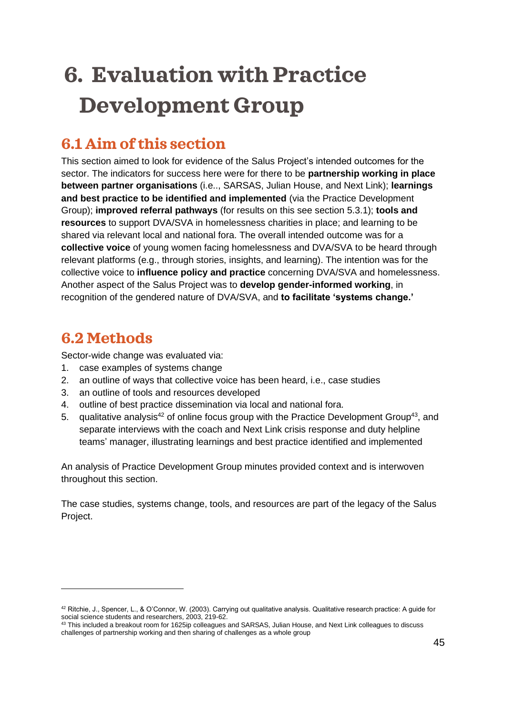# <span id="page-44-0"></span>**6. Evaluation with Practice Development Group**

# <span id="page-44-1"></span>**6.1 Aim of this section**

This section aimed to look for evidence of the Salus Project's intended outcomes for the sector. The indicators for success here were for there to be **partnership working in place between partner organisations** (i.e.., SARSAS, Julian House, and Next Link); **learnings and best practice to be identified and implemented** (via the Practice Development Group); **improved referral pathways** (for results on this see section 5.3.1); **tools and resources** to support DVA/SVA in homelessness charities in place; and learning to be shared via relevant local and national fora. The overall intended outcome was for a **collective voice** of young women facing homelessness and DVA/SVA to be heard through relevant platforms (e.g., through stories, insights, and learning). The intention was for the collective voice to **influence policy and practice** concerning DVA/SVA and homelessness. Another aspect of the Salus Project was to **develop gender-informed working**, in recognition of the gendered nature of DVA/SVA, and **to facilitate 'systems change.'**

## <span id="page-44-2"></span>**6.2 Methods**

Sector-wide change was evaluated via:

- 1. case examples of systems change
- 2. an outline of ways that collective voice has been heard, i.e., case studies
- 3. an outline of tools and resources developed
- 4. outline of best practice dissemination via local and national fora.
- 5. qualitative analysis<sup>42</sup> of online focus group with the Practice Development Group<sup>43</sup>, and separate interviews with the coach and Next Link crisis response and duty helpline teams' manager, illustrating learnings and best practice identified and implemented

An analysis of Practice Development Group minutes provided context and is interwoven throughout this section.

The case studies, systems change, tools, and resources are part of the legacy of the Salus Project.

<sup>42</sup> Ritchie, J., Spencer, L., & O'Connor, W. (2003). Carrying out qualitative analysis. Qualitative research practice: A guide for social science students and researchers, 2003, 219-62.

 $43$  This included a breakout room for 1625ip colleagues and SARSAS, Julian House, and Next Link colleagues to discuss challenges of partnership working and then sharing of challenges as a whole group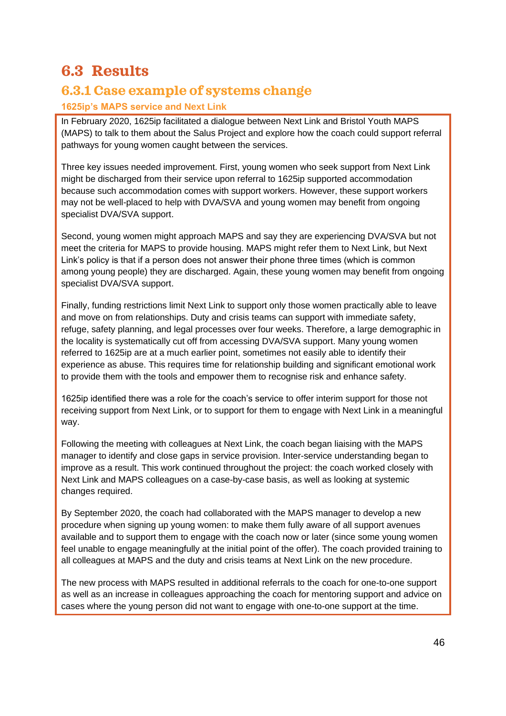## <span id="page-45-0"></span>**6.3 Results**

### **6.3.1 Case example of systems change**

#### **1625ip's MAPS service and Next Link**

In February 2020, 1625ip facilitated a dialogue between Next Link and Bristol Youth MAPS (MAPS) to talk to them about the Salus Project and explore how the coach could support referral pathways for young women caught between the services.

Three key issues needed improvement. First, young women who seek support from Next Link might be discharged from their service upon referral to 1625ip supported accommodation because such accommodation comes with support workers. However, these support workers may not be well-placed to help with DVA/SVA and young women may benefit from ongoing specialist DVA/SVA support.

Second, young women might approach MAPS and say they are experiencing DVA/SVA but not meet the criteria for MAPS to provide housing. MAPS might refer them to Next Link, but Next Link's policy is that if a person does not answer their phone three times (which is common among young people) they are discharged. Again, these young women may benefit from ongoing specialist DVA/SVA support.

Finally, funding restrictions limit Next Link to support only those women practically able to leave and move on from relationships. Duty and crisis teams can support with immediate safety, refuge, safety planning, and legal processes over four weeks. Therefore, a large demographic in the locality is systematically cut off from accessing DVA/SVA support. Many young women referred to 1625ip are at a much earlier point, sometimes not easily able to identify their experience as abuse. This requires time for relationship building and significant emotional work to provide them with the tools and empower them to recognise risk and enhance safety.

1625ip identified there was a role for the coach's service to offer interim support for those not receiving support from Next Link, or to support for them to engage with Next Link in a meaningful way.

Following the meeting with colleagues at Next Link, the coach began liaising with the MAPS manager to identify and close gaps in service provision. Inter-service understanding began to improve as a result. This work continued throughout the project: the coach worked closely with Next Link and MAPS colleagues on a case-by-case basis, as well as looking at systemic changes required.

By September 2020, the coach had collaborated with the MAPS manager to develop a new procedure when signing up young women: to make them fully aware of all support avenues available and to support them to engage with the coach now or later (since some young women feel unable to engage meaningfully at the initial point of the offer). The coach provided training to all colleagues at MAPS and the duty and crisis teams at Next Link on the new procedure.

The new process with MAPS resulted in additional referrals to the coach for one-to-one support as well as an increase in colleagues approaching the coach for mentoring support and advice on cases where the young person did not want to engage with one-to-one support at the time.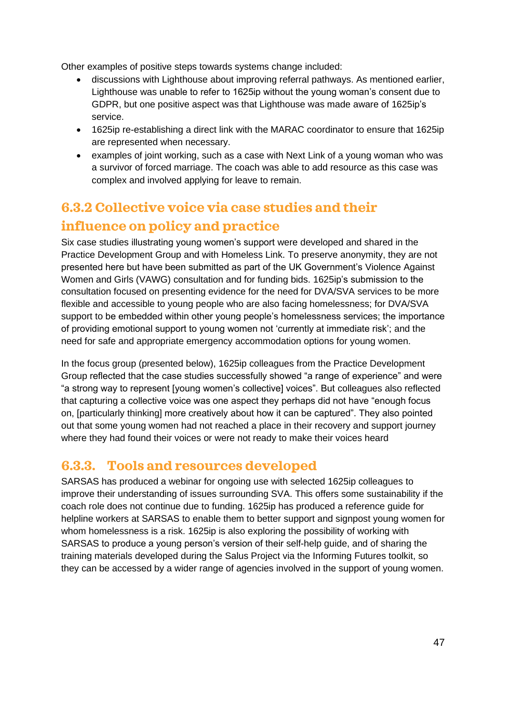Other examples of positive steps towards systems change included:

- discussions with Lighthouse about improving referral pathways. As mentioned earlier, Lighthouse was unable to refer to 1625ip without the young woman's consent due to GDPR, but one positive aspect was that Lighthouse was made aware of 1625ip's service.
- 1625ip re-establishing a direct link with the MARAC coordinator to ensure that 1625ip are represented when necessary.
- examples of joint working, such as a case with Next Link of a young woman who was a survivor of forced marriage. The coach was able to add resource as this case was complex and involved applying for leave to remain.

## **6.3.2 Collective voice via case studies and their influence on policy and practice**

Six case studies illustrating young women's support were developed and shared in the Practice Development Group and with Homeless Link. To preserve anonymity, they are not presented here but have been submitted as part of the UK Government's Violence Against Women and Girls (VAWG) consultation and for funding bids. 1625ip's submission to the consultation focused on presenting evidence for the need for DVA/SVA services to be more flexible and accessible to young people who are also facing homelessness; for DVA/SVA support to be embedded within other young people's homelessness services; the importance of providing emotional support to young women not 'currently at immediate risk'; and the need for safe and appropriate emergency accommodation options for young women.

In the focus group (presented below), 1625ip colleagues from the Practice Development Group reflected that the case studies successfully showed "a range of experience" and were "a strong way to represent [young women's collective] voices". But colleagues also reflected that capturing a collective voice was one aspect they perhaps did not have "enough focus on, [particularly thinking] more creatively about how it can be captured". They also pointed out that some young women had not reached a place in their recovery and support journey where they had found their voices or were not ready to make their voices heard

### **6.3.3. Tools and resources developed**

SARSAS has produced a webinar for ongoing use with selected 1625ip colleagues to improve their understanding of issues surrounding SVA. This offers some sustainability if the coach role does not continue due to funding. 1625ip has produced a reference guide for helpline workers at SARSAS to enable them to better support and signpost young women for whom homelessness is a risk. 1625ip is also exploring the possibility of working with SARSAS to produce a young person's version of their self-help guide, and of sharing the training materials developed during the Salus Project via the Informing Futures toolkit, so they can be accessed by a wider range of agencies involved in the support of young women.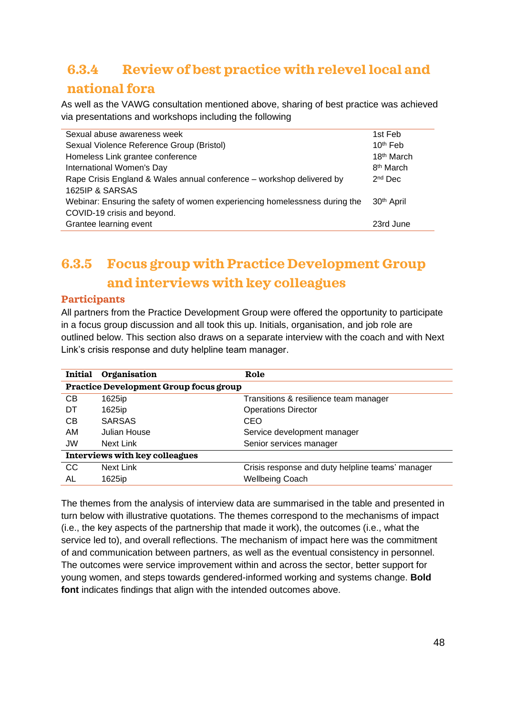## **6.3.4 Review of best practice with relevel local and national fora**

As well as the VAWG consultation mentioned above, sharing of best practice was achieved via presentations and workshops including the following

| Sexual abuse awareness week                                                | 1st Feb                |
|----------------------------------------------------------------------------|------------------------|
| Sexual Violence Reference Group (Bristol)                                  | $10th$ Feb             |
| Homeless Link grantee conference                                           | 18 <sup>th</sup> March |
| International Women's Day                                                  | 8 <sup>th</sup> March  |
| Rape Crisis England & Wales annual conference – workshop delivered by      | $2nd$ Dec              |
| 1625IP & SARSAS                                                            |                        |
| Webinar: Ensuring the safety of women experiencing homelessness during the | 30 <sup>th</sup> April |
| COVID-19 crisis and beyond.                                                |                        |
| Grantee learning event                                                     | 23rd June              |
|                                                                            |                        |

# **6.3.5 Focus group with Practice Development Group and interviews with key colleagues**

#### **Participants**

All partners from the Practice Development Group were offered the opportunity to participate in a focus group discussion and all took this up. Initials, organisation, and job role are outlined below. This section also draws on a separate interview with the coach and with Next Link's crisis response and duty helpline team manager.

| <b>Initial</b>                                | Organisation  | Role                                             |  |  |
|-----------------------------------------------|---------------|--------------------------------------------------|--|--|
| <b>Practice Development Group focus group</b> |               |                                                  |  |  |
| CB                                            | 1625ip        | Transitions & resilience team manager            |  |  |
| DT                                            | 1625ip        | <b>Operations Director</b>                       |  |  |
| CB                                            | <b>SARSAS</b> | CEO                                              |  |  |
| AM                                            | Julian House  | Service development manager                      |  |  |
| <b>JW</b>                                     | Next Link     | Senior services manager                          |  |  |
| <b>Interviews with key colleagues</b>         |               |                                                  |  |  |
| CC                                            | Next Link     | Crisis response and duty helpline teams' manager |  |  |
| AL                                            | 1625ip        | <b>Wellbeing Coach</b>                           |  |  |

The themes from the analysis of interview data are summarised in the table and presented in turn below with illustrative quotations. The themes correspond to the mechanisms of impact (i.e., the key aspects of the partnership that made it work), the outcomes (i.e., what the service led to), and overall reflections. The mechanism of impact here was the commitment of and communication between partners, as well as the eventual consistency in personnel. The outcomes were service improvement within and across the sector, better support for young women, and steps towards gendered-informed working and systems change. **Bold font** indicates findings that align with the intended outcomes above.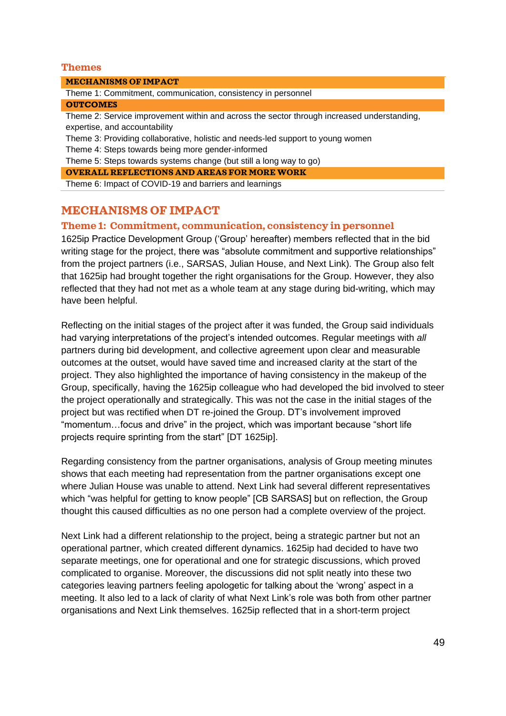#### **Themes**

#### **MECHANISMS OF IMPACT**

Theme 1: Commitment, communication, consistency in personnel

#### **OUTCOMES**

Theme 2: Service improvement within and across the sector through increased understanding, expertise, and accountability

Theme 3: Providing collaborative, holistic and needs-led support to young women

Theme 4: Steps towards being more gender-informed

Theme 5: Steps towards systems change (but still a long way to go)

**OVERALL REFLECTIONS AND AREAS FOR MORE WORK**

Theme 6: Impact of COVID-19 and barriers and learnings

#### **MECHANISMS OF IMPACT**

#### **Theme 1: Commitment, communication, consistency in personnel**

1625ip Practice Development Group ('Group' hereafter) members reflected that in the bid writing stage for the project, there was "absolute commitment and supportive relationships" from the project partners (i.e., SARSAS, Julian House, and Next Link). The Group also felt that 1625ip had brought together the right organisations for the Group. However, they also reflected that they had not met as a whole team at any stage during bid-writing, which may have been helpful.

Reflecting on the initial stages of the project after it was funded, the Group said individuals had varying interpretations of the project's intended outcomes. Regular meetings with *all* partners during bid development, and collective agreement upon clear and measurable outcomes at the outset, would have saved time and increased clarity at the start of the project. They also highlighted the importance of having consistency in the makeup of the Group, specifically, having the 1625ip colleague who had developed the bid involved to steer the project operationally and strategically. This was not the case in the initial stages of the project but was rectified when DT re-joined the Group. DT's involvement improved "momentum…focus and drive" in the project, which was important because "short life projects require sprinting from the start" [DT 1625ip].

Regarding consistency from the partner organisations, analysis of Group meeting minutes shows that each meeting had representation from the partner organisations except one where Julian House was unable to attend. Next Link had several different representatives which "was helpful for getting to know people" [CB SARSAS] but on reflection, the Group thought this caused difficulties as no one person had a complete overview of the project.

Next Link had a different relationship to the project, being a strategic partner but not an operational partner, which created different dynamics. 1625ip had decided to have two separate meetings, one for operational and one for strategic discussions, which proved complicated to organise. Moreover, the discussions did not split neatly into these two categories leaving partners feeling apologetic for talking about the 'wrong' aspect in a meeting. It also led to a lack of clarity of what Next Link's role was both from other partner organisations and Next Link themselves. 1625ip reflected that in a short-term project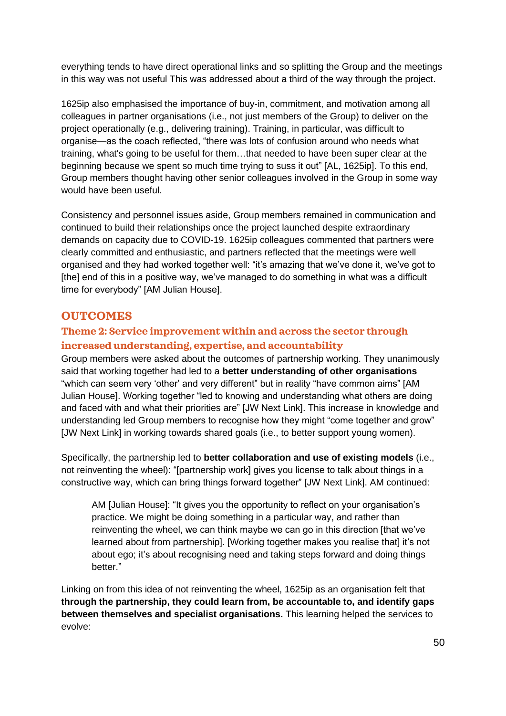everything tends to have direct operational links and so splitting the Group and the meetings in this way was not useful This was addressed about a third of the way through the project.

1625ip also emphasised the importance of buy-in, commitment, and motivation among all colleagues in partner organisations (i.e., not just members of the Group) to deliver on the project operationally (e.g., delivering training). Training, in particular, was difficult to organise—as the coach reflected, "there was lots of confusion around who needs what training, what's going to be useful for them…that needed to have been super clear at the beginning because we spent so much time trying to suss it out" [AL, 1625ip]. To this end, Group members thought having other senior colleagues involved in the Group in some way would have been useful.

Consistency and personnel issues aside, Group members remained in communication and continued to build their relationships once the project launched despite extraordinary demands on capacity due to COVID-19. 1625ip colleagues commented that partners were clearly committed and enthusiastic, and partners reflected that the meetings were well organised and they had worked together well: "it's amazing that we've done it, we've got to [the] end of this in a positive way, we've managed to do something in what was a difficult time for everybody" [AM Julian House].

#### **OUTCOMES**

#### **Theme 2: Service improvement within and across the sector through increased understanding, expertise, and accountability**

Group members were asked about the outcomes of partnership working. They unanimously said that working together had led to a **better understanding of other organisations** "which can seem very 'other' and very different" but in reality "have common aims" [AM Julian House]. Working together "led to knowing and understanding what others are doing and faced with and what their priorities are" [JW Next Link]. This increase in knowledge and understanding led Group members to recognise how they might "come together and grow" [JW Next Link] in working towards shared goals (i.e., to better support young women).

Specifically, the partnership led to **better collaboration and use of existing models** (i.e., not reinventing the wheel): "[partnership work] gives you license to talk about things in a constructive way, which can bring things forward together" [JW Next Link]. AM continued:

AM [Julian House]: "It gives you the opportunity to reflect on your organisation's practice. We might be doing something in a particular way, and rather than reinventing the wheel, we can think maybe we can go in this direction [that we've learned about from partnership]. [Working together makes you realise that] it's not about ego; it's about recognising need and taking steps forward and doing things better."

Linking on from this idea of not reinventing the wheel, 1625ip as an organisation felt that **through the partnership, they could learn from, be accountable to, and identify gaps between themselves and specialist organisations.** This learning helped the services to evolve: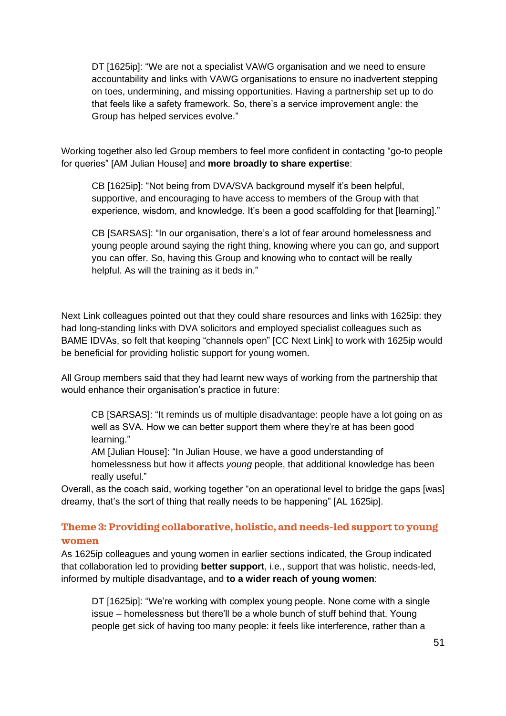DT [1625ip]: "We are not a specialist VAWG organisation and we need to ensure accountability and links with VAWG organisations to ensure no inadvertent stepping on toes, undermining, and missing opportunities. Having a partnership set up to do that feels like a safety framework. So, there's a service improvement angle: the Group has helped services evolve."

Working together also led Group members to feel more confident in contacting "go-to people for queries" [AM Julian House] and **more broadly to share expertise**:

CB [1625ip]: "Not being from DVA/SVA background myself it's been helpful, supportive, and encouraging to have access to members of the Group with that experience, wisdom, and knowledge. It's been a good scaffolding for that [learning]."

CB [SARSAS]: "In our organisation, there's a lot of fear around homelessness and young people around saying the right thing, knowing where you can go, and support you can offer. So, having this Group and knowing who to contact will be really helpful. As will the training as it beds in."

Next Link colleagues pointed out that they could share resources and links with 1625ip: they had long-standing links with DVA solicitors and employed specialist colleagues such as BAME IDVAs, so felt that keeping "channels open" [CC Next Link] to work with 1625ip would be beneficial for providing holistic support for young women.

All Group members said that they had learnt new ways of working from the partnership that would enhance their organisation's practice in future:

CB [SARSAS]: "It reminds us of multiple disadvantage: people have a lot going on as well as SVA. How we can better support them where they're at has been good learning."

AM [Julian House]: "In Julian House, we have a good understanding of homelessness but how it affects *young* people, that additional knowledge has been really useful."

Overall, as the coach said, working together "on an operational level to bridge the gaps [was] dreamy, that's the sort of thing that really needs to be happening" [AL 1625ip].

#### **Theme 3: Providing collaborative, holistic, and needs-led support to young women**

As 1625ip colleagues and young women in earlier sections indicated, the Group indicated that collaboration led to providing **better support**, i.e., support that was holistic, needs-led, informed by multiple disadvantage**,** and **to a wider reach of young women**:

DT [1625ip]: "We're working with complex young people. None come with a single issue – homelessness but there'll be a whole bunch of stuff behind that. Young people get sick of having too many people: it feels like interference, rather than a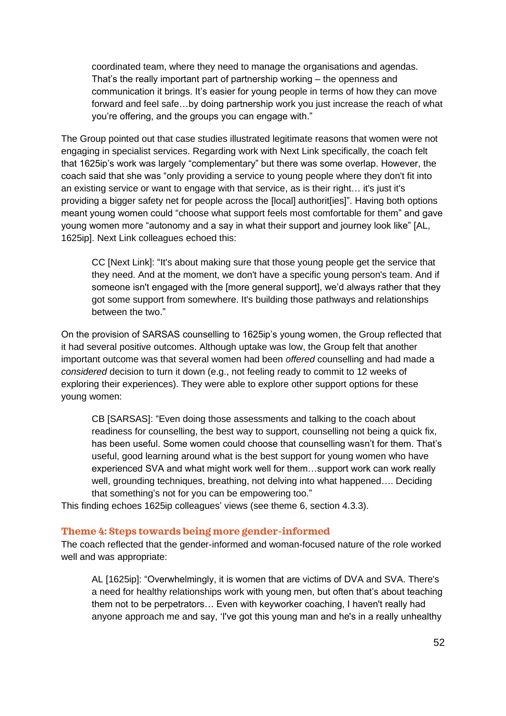coordinated team, where they need to manage the organisations and agendas. That's the really important part of partnership working – the openness and communication it brings. It's easier for young people in terms of how they can move forward and feel safe…by doing partnership work you just increase the reach of what you're offering, and the groups you can engage with."

The Group pointed out that case studies illustrated legitimate reasons that women were not engaging in specialist services. Regarding work with Next Link specifically, the coach felt that 1625ip's work was largely "complementary" but there was some overlap. However, the coach said that she was "only providing a service to young people where they don't fit into an existing service or want to engage with that service, as is their right… it's just it's providing a bigger safety net for people across the [local] authorit[ies]". Having both options meant young women could "choose what support feels most comfortable for them" and gave young women more "autonomy and a say in what their support and journey look like" [AL, 1625ip]. Next Link colleagues echoed this:

CC [Next Link]: "It's about making sure that those young people get the service that they need. And at the moment, we don't have a specific young person's team. And if someone isn't engaged with the [more general support], we'd always rather that they got some support from somewhere. It's building those pathways and relationships between the two."

On the provision of SARSAS counselling to 1625ip's young women, the Group reflected that it had several positive outcomes. Although uptake was low, the Group felt that another important outcome was that several women had been *offered* counselling and had made a *considered* decision to turn it down (e.g., not feeling ready to commit to 12 weeks of exploring their experiences). They were able to explore other support options for these young women:

CB [SARSAS]: "Even doing those assessments and talking to the coach about readiness for counselling, the best way to support, counselling not being a quick fix, has been useful. Some women could choose that counselling wasn't for them. That's useful, good learning around what is the best support for young women who have experienced SVA and what might work well for them…support work can work really well, grounding techniques, breathing, not delving into what happened…. Deciding that something's not for you can be empowering too."

This finding echoes 1625ip colleagues' views (see theme 6, section 4.3.3).

#### **Theme 4: Steps towards being more gender-informed**

The coach reflected that the gender-informed and woman-focused nature of the role worked well and was appropriate:

AL [1625ip]: "Overwhelmingly, it is women that are victims of DVA and SVA. There's a need for healthy relationships work with young men, but often that's about teaching them not to be perpetrators… Even with keyworker coaching, I haven't really had anyone approach me and say, 'I've got this young man and he's in a really unhealthy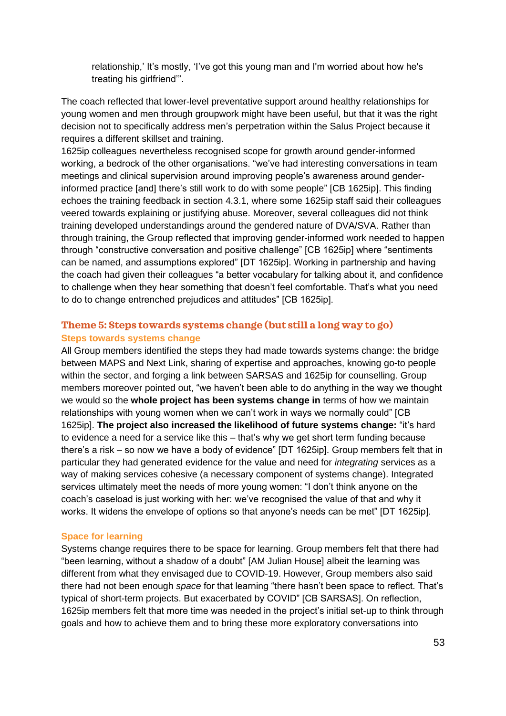relationship,' It's mostly, 'I've got this young man and I'm worried about how he's treating his girlfriend'".

The coach reflected that lower-level preventative support around healthy relationships for young women and men through groupwork might have been useful, but that it was the right decision not to specifically address men's perpetration within the Salus Project because it requires a different skillset and training.

1625ip colleagues nevertheless recognised scope for growth around gender-informed working, a bedrock of the other organisations. "we've had interesting conversations in team meetings and clinical supervision around improving people's awareness around genderinformed practice [and] there's still work to do with some people" [CB 1625ip]. This finding echoes the training feedback in section 4.3.1, where some 1625ip staff said their colleagues veered towards explaining or justifying abuse. Moreover, several colleagues did not think training developed understandings around the gendered nature of DVA/SVA. Rather than through training, the Group reflected that improving gender-informed work needed to happen through "constructive conversation and positive challenge" [CB 1625ip] where "sentiments can be named, and assumptions explored" [DT 1625ip]. Working in partnership and having the coach had given their colleagues "a better vocabulary for talking about it, and confidence to challenge when they hear something that doesn't feel comfortable. That's what you need to do to change entrenched prejudices and attitudes" [CB 1625ip].

#### **Theme 5: Steps towards systems change (but still a long way to go) Steps towards systems change**

All Group members identified the steps they had made towards systems change: the bridge between MAPS and Next Link, sharing of expertise and approaches, knowing go-to people within the sector, and forging a link between SARSAS and 1625ip for counselling. Group members moreover pointed out, "we haven't been able to do anything in the way we thought we would so the **whole project has been systems change in** terms of how we maintain relationships with young women when we can't work in ways we normally could" [CB 1625ip]. **The project also increased the likelihood of future systems change:** "it's hard to evidence a need for a service like this – that's why we get short term funding because there's a risk – so now we have a body of evidence" [DT 1625ip]. Group members felt that in particular they had generated evidence for the value and need for *integrating* services as a way of making services cohesive (a necessary component of systems change). Integrated services ultimately meet the needs of more young women: "I don't think anyone on the coach's caseload is just working with her: we've recognised the value of that and why it works. It widens the envelope of options so that anyone's needs can be met" [DT 1625ip].

#### **Space for learning**

Systems change requires there to be space for learning. Group members felt that there had "been learning, without a shadow of a doubt" [AM Julian House] albeit the learning was different from what they envisaged due to COVID-19. However, Group members also said there had not been enough *space* for that learning "there hasn't been space to reflect. That's typical of short-term projects. But exacerbated by COVID" [CB SARSAS]. On reflection, 1625ip members felt that more time was needed in the project's initial set-up to think through goals and how to achieve them and to bring these more exploratory conversations into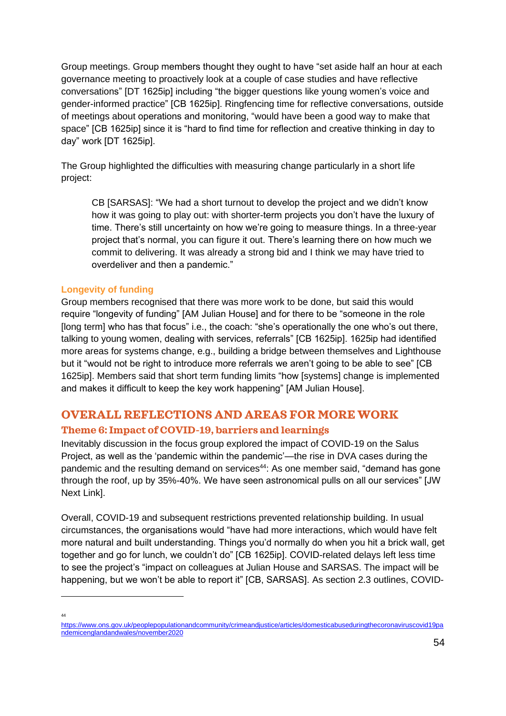Group meetings. Group members thought they ought to have "set aside half an hour at each governance meeting to proactively look at a couple of case studies and have reflective conversations" [DT 1625ip] including "the bigger questions like young women's voice and gender-informed practice" [CB 1625ip]. Ringfencing time for reflective conversations, outside of meetings about operations and monitoring, "would have been a good way to make that space" [CB 1625ip] since it is "hard to find time for reflection and creative thinking in day to day" work [DT 1625ip].

The Group highlighted the difficulties with measuring change particularly in a short life project:

CB [SARSAS]: "We had a short turnout to develop the project and we didn't know how it was going to play out: with shorter-term projects you don't have the luxury of time. There's still uncertainty on how we're going to measure things. In a three-year project that's normal, you can figure it out. There's learning there on how much we commit to delivering. It was already a strong bid and I think we may have tried to overdeliver and then a pandemic."

#### **Longevity of funding**

Group members recognised that there was more work to be done, but said this would require "longevity of funding" [AM Julian House] and for there to be "someone in the role [long term] who has that focus" i.e., the coach: "she's operationally the one who's out there, talking to young women, dealing with services, referrals" [CB 1625ip]. 1625ip had identified more areas for systems change, e.g., building a bridge between themselves and Lighthouse but it "would not be right to introduce more referrals we aren't going to be able to see" [CB 1625ip]. Members said that short term funding limits "how [systems] change is implemented and makes it difficult to keep the key work happening" [AM Julian House].

# **OVERALL REFLECTIONS AND AREAS FOR MORE WORK**

### **Theme 6: Impact of COVID-19, barriers and learnings**

Inevitably discussion in the focus group explored the impact of COVID-19 on the Salus Project, as well as the 'pandemic within the pandemic'—the rise in DVA cases during the pandemic and the resulting demand on services<sup>44</sup>: As one member said, "demand has gone through the roof, up by 35%-40%. We have seen astronomical pulls on all our services" [JW Next Link].

Overall, COVID-19 and subsequent restrictions prevented relationship building. In usual circumstances, the organisations would "have had more interactions, which would have felt more natural and built understanding. Things you'd normally do when you hit a brick wall, get together and go for lunch, we couldn't do" [CB 1625ip]. COVID-related delays left less time to see the project's "impact on colleagues at Julian House and SARSAS. The impact will be happening, but we won't be able to report it" [CB, SARSAS]. As section 2.3 outlines, COVID-

<sup>44</sup>

[https://www.ons.gov.uk/peoplepopulationandcommunity/crimeandjustice/articles/domesticabuseduringthecoronaviruscovid19pa](https://www.ons.gov.uk/peoplepopulationandcommunity/crimeandjustice/articles/domesticabuseduringthecoronaviruscovid19pandemicenglandandwales/november2020) [ndemicenglandandwales/november2020](https://www.ons.gov.uk/peoplepopulationandcommunity/crimeandjustice/articles/domesticabuseduringthecoronaviruscovid19pandemicenglandandwales/november2020)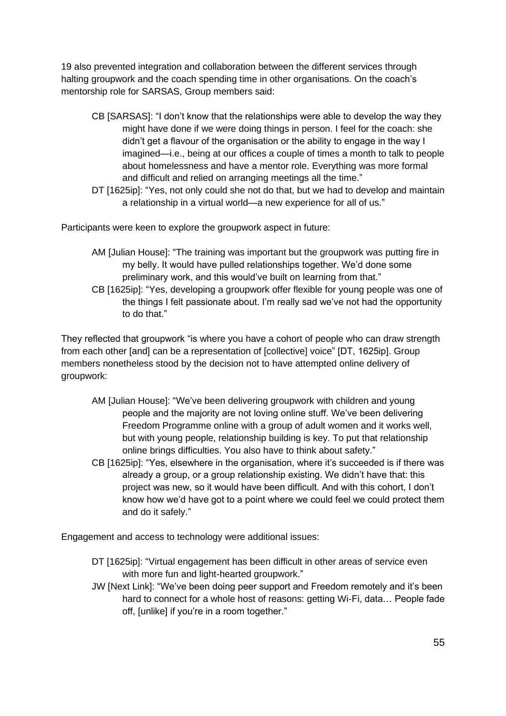19 also prevented integration and collaboration between the different services through halting groupwork and the coach spending time in other organisations. On the coach's mentorship role for SARSAS, Group members said:

- CB [SARSAS]: "I don't know that the relationships were able to develop the way they might have done if we were doing things in person. I feel for the coach: she didn't get a flavour of the organisation or the ability to engage in the way I imagined—i.e., being at our offices a couple of times a month to talk to people about homelessness and have a mentor role. Everything was more formal and difficult and relied on arranging meetings all the time."
- DT [1625ip]: "Yes, not only could she not do that, but we had to develop and maintain a relationship in a virtual world—a new experience for all of us."

Participants were keen to explore the groupwork aspect in future:

- AM [Julian House]: "The training was important but the groupwork was putting fire in my belly. It would have pulled relationships together. We'd done some preliminary work, and this would've built on learning from that."
- CB [1625ip]: "Yes, developing a groupwork offer flexible for young people was one of the things I felt passionate about. I'm really sad we've not had the opportunity to do that."

They reflected that groupwork "is where you have a cohort of people who can draw strength from each other [and] can be a representation of [collective] voice" [DT, 1625ip]. Group members nonetheless stood by the decision not to have attempted online delivery of groupwork:

- AM [Julian House]: "We've been delivering groupwork with children and young people and the majority are not loving online stuff. We've been delivering Freedom Programme online with a group of adult women and it works well, but with young people, relationship building is key. To put that relationship online brings difficulties. You also have to think about safety."
- CB [1625ip]: "Yes, elsewhere in the organisation, where it's succeeded is if there was already a group, or a group relationship existing. We didn't have that: this project was new, so it would have been difficult. And with this cohort, I don't know how we'd have got to a point where we could feel we could protect them and do it safely."

Engagement and access to technology were additional issues:

- DT [1625ip]: "Virtual engagement has been difficult in other areas of service even with more fun and light-hearted groupwork."
- JW [Next Link]: "We've been doing peer support and Freedom remotely and it's been hard to connect for a whole host of reasons: getting Wi-Fi, data… People fade off, [unlike] if you're in a room together."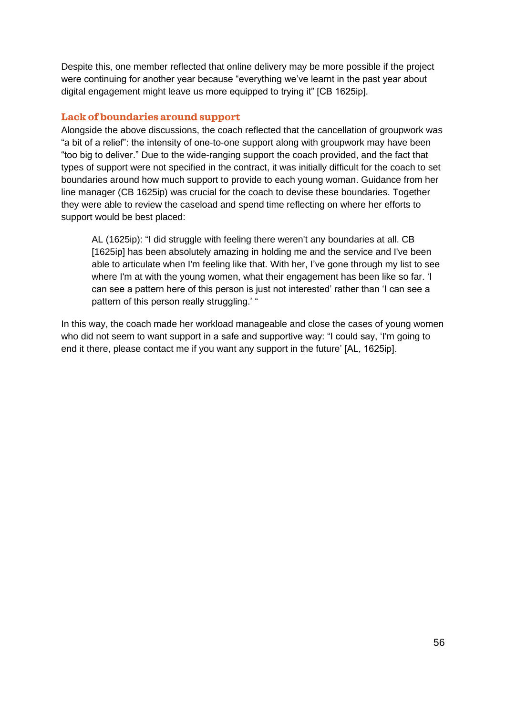Despite this, one member reflected that online delivery may be more possible if the project were continuing for another year because "everything we've learnt in the past year about digital engagement might leave us more equipped to trying it" [CB 1625ip].

#### **Lack of boundaries around support**

Alongside the above discussions, the coach reflected that the cancellation of groupwork was "a bit of a relief": the intensity of one-to-one support along with groupwork may have been "too big to deliver." Due to the wide-ranging support the coach provided, and the fact that types of support were not specified in the contract, it was initially difficult for the coach to set boundaries around how much support to provide to each young woman. Guidance from her line manager (CB 1625ip) was crucial for the coach to devise these boundaries. Together they were able to review the caseload and spend time reflecting on where her efforts to support would be best placed:

AL (1625ip): "I did struggle with feeling there weren't any boundaries at all. CB [1625ip] has been absolutely amazing in holding me and the service and I've been able to articulate when I'm feeling like that. With her, I've gone through my list to see where I'm at with the young women, what their engagement has been like so far. 'I can see a pattern here of this person is just not interested' rather than 'I can see a pattern of this person really struggling.' "

In this way, the coach made her workload manageable and close the cases of young women who did not seem to want support in a safe and supportive way: "I could say, 'I'm going to end it there, please contact me if you want any support in the future' [AL, 1625ip].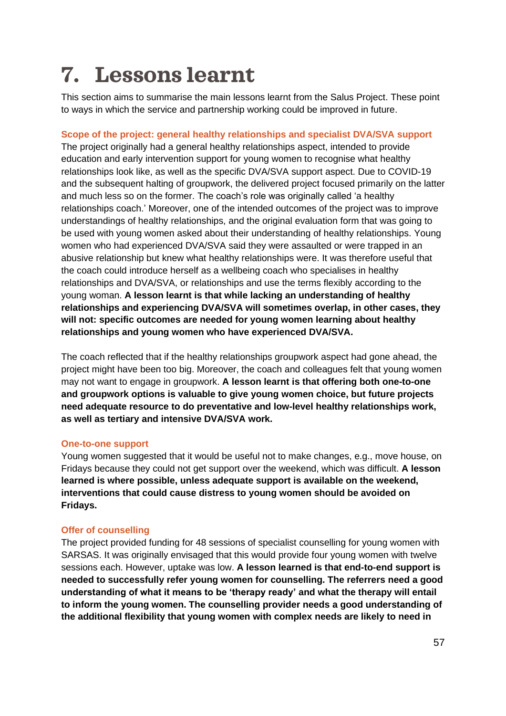# <span id="page-56-0"></span>**7. Lessons learnt**

This section aims to summarise the main lessons learnt from the Salus Project. These point to ways in which the service and partnership working could be improved in future.

**Scope of the project: general healthy relationships and specialist DVA/SVA support** The project originally had a general healthy relationships aspect, intended to provide education and early intervention support for young women to recognise what healthy relationships look like, as well as the specific DVA/SVA support aspect. Due to COVID-19 and the subsequent halting of groupwork, the delivered project focused primarily on the latter and much less so on the former. The coach's role was originally called 'a healthy relationships coach.' Moreover, one of the intended outcomes of the project was to improve understandings of healthy relationships, and the original evaluation form that was going to be used with young women asked about their understanding of healthy relationships. Young women who had experienced DVA/SVA said they were assaulted or were trapped in an abusive relationship but knew what healthy relationships were. It was therefore useful that the coach could introduce herself as a wellbeing coach who specialises in healthy relationships and DVA/SVA, or relationships and use the terms flexibly according to the young woman. **A lesson learnt is that while lacking an understanding of healthy relationships and experiencing DVA/SVA will sometimes overlap, in other cases, they will not: specific outcomes are needed for young women learning about healthy relationships and young women who have experienced DVA/SVA.** 

The coach reflected that if the healthy relationships groupwork aspect had gone ahead, the project might have been too big. Moreover, the coach and colleagues felt that young women may not want to engage in groupwork. **A lesson learnt is that offering both one-to-one and groupwork options is valuable to give young women choice, but future projects need adequate resource to do preventative and low-level healthy relationships work, as well as tertiary and intensive DVA/SVA work.**

#### **One-to-one support**

Young women suggested that it would be useful not to make changes, e.g., move house, on Fridays because they could not get support over the weekend, which was difficult. **A lesson learned is where possible, unless adequate support is available on the weekend, interventions that could cause distress to young women should be avoided on Fridays.**

#### **Offer of counselling**

The project provided funding for 48 sessions of specialist counselling for young women with SARSAS. It was originally envisaged that this would provide four young women with twelve sessions each. However, uptake was low. **A lesson learned is that end-to-end support is needed to successfully refer young women for counselling. The referrers need a good understanding of what it means to be 'therapy ready' and what the therapy will entail to inform the young women. The counselling provider needs a good understanding of the additional flexibility that young women with complex needs are likely to need in**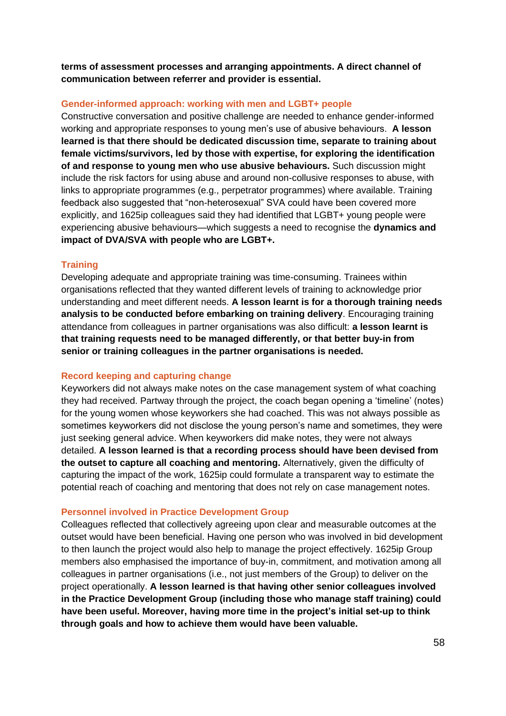**terms of assessment processes and arranging appointments. A direct channel of communication between referrer and provider is essential.** 

#### **Gender-informed approach: working with men and LGBT+ people**

Constructive conversation and positive challenge are needed to enhance gender-informed working and appropriate responses to young men's use of abusive behaviours. **A lesson learned is that there should be dedicated discussion time, separate to training about female victims/survivors, led by those with expertise, for exploring the identification of and response to young men who use abusive behaviours.** Such discussion might include the risk factors for using abuse and around non-collusive responses to abuse, with links to appropriate programmes (e.g., perpetrator programmes) where available. Training feedback also suggested that "non-heterosexual" SVA could have been covered more explicitly, and 1625ip colleagues said they had identified that LGBT+ young people were experiencing abusive behaviours—which suggests a need to recognise the **dynamics and impact of DVA/SVA with people who are LGBT+.**

#### **Training**

Developing adequate and appropriate training was time-consuming. Trainees within organisations reflected that they wanted different levels of training to acknowledge prior understanding and meet different needs. **A lesson learnt is for a thorough training needs analysis to be conducted before embarking on training delivery**. Encouraging training attendance from colleagues in partner organisations was also difficult: **a lesson learnt is that training requests need to be managed differently, or that better buy-in from senior or training colleagues in the partner organisations is needed.** 

#### **Record keeping and capturing change**

Keyworkers did not always make notes on the case management system of what coaching they had received. Partway through the project, the coach began opening a 'timeline' (notes) for the young women whose keyworkers she had coached. This was not always possible as sometimes keyworkers did not disclose the young person's name and sometimes, they were just seeking general advice. When keyworkers did make notes, they were not always detailed. **A lesson learned is that a recording process should have been devised from the outset to capture all coaching and mentoring.** Alternatively, given the difficulty of capturing the impact of the work, 1625ip could formulate a transparent way to estimate the potential reach of coaching and mentoring that does not rely on case management notes.

#### **Personnel involved in Practice Development Group**

Colleagues reflected that collectively agreeing upon clear and measurable outcomes at the outset would have been beneficial. Having one person who was involved in bid development to then launch the project would also help to manage the project effectively. 1625ip Group members also emphasised the importance of buy-in, commitment, and motivation among all colleagues in partner organisations (i.e., not just members of the Group) to deliver on the project operationally. **A lesson learned is that having other senior colleagues involved in the Practice Development Group (including those who manage staff training) could have been useful. Moreover, having more time in the project's initial set-up to think through goals and how to achieve them would have been valuable.**